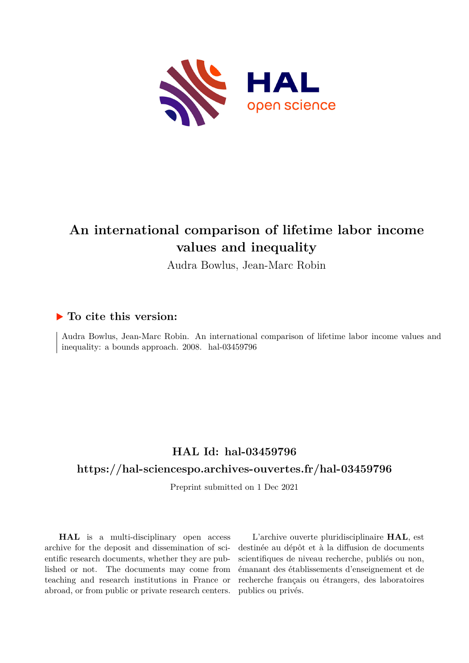

# **An international comparison of lifetime labor income values and inequality**

Audra Bowlus, Jean-Marc Robin

## **To cite this version:**

Audra Bowlus, Jean-Marc Robin. An international comparison of lifetime labor income values and inequality: a bounds approach.  $2008$ . hal-03459796

## **HAL Id: hal-03459796**

## **<https://hal-sciencespo.archives-ouvertes.fr/hal-03459796>**

Preprint submitted on 1 Dec 2021

**HAL** is a multi-disciplinary open access archive for the deposit and dissemination of scientific research documents, whether they are published or not. The documents may come from teaching and research institutions in France or abroad, or from public or private research centers.

L'archive ouverte pluridisciplinaire **HAL**, est destinée au dépôt et à la diffusion de documents scientifiques de niveau recherche, publiés ou non, émanant des établissements d'enseignement et de recherche français ou étrangers, des laboratoires publics ou privés.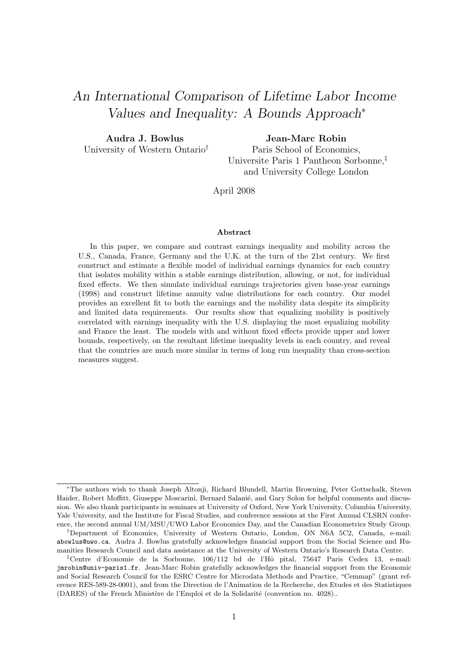# An International Comparison of Lifetime Labor Income Values and Inequality: A Bounds Approach<sup>∗</sup>

Audra J. Bowlus University of Western Ontario† Jean-Marc Robin

Paris School of Economics, Universite Paris 1 Pantheon Sorbonne,‡ and University College London

April 2008

#### Abstract

In this paper, we compare and contrast earnings inequality and mobility across the U.S., Canada, France, Germany and the U.K. at the turn of the 21st century. We first construct and estimate a flexible model of individual earnings dynamics for each country that isolates mobility within a stable earnings distribution, allowing, or not, for individual fixed effects. We then simulate individual earnings trajectories given base-year earnings (1998) and construct lifetime annuity value distributions for each country. Our model provides an excellent fit to both the earnings and the mobility data despite its simplicity and limited data requirements. Our results show that equalizing mobility is positively correlated with earnings inequality with the U.S. displaying the most equalizing mobility and France the least. The models with and without fixed effects provide upper and lower bounds, respectively, on the resultant lifetime inequality levels in each country, and reveal that the countries are much more similar in terms of long run inequality than cross-section measures suggest.

<sup>∗</sup>The authors wish to thank Joseph Altonji, Richard Blundell, Martin Browning, Peter Gottschalk, Steven Haider, Robert Moffitt, Giuseppe Moscarini, Bernard Salanié, and Gary Solon for helpful comments and discussion. We also thank participants in seminars at University of Oxford, New York University, Columbia University, Yale University, and the Institute for Fiscal Studies, and conference sessions at the First Annual CLSRN conference, the second annual UM/MSU/UWO Labor Economics Day, and the Canadian Econometrics Study Group.

<sup>†</sup>Department of Economics, University of Western Ontario, London, ON N6A 5C2, Canada, e-mail: abowlus@uwo.ca. Audra J. Bowlus gratefully acknowledges financial support from the Social Science and Humanities Research Council and data assistance at the University of Western Ontario's Research Data Centre.

<sup>&</sup>lt;sup>‡</sup>Centre d'Economie de la Sorbonne, 106/112 bd de l'Hô pital, 75647 Paris Cedex 13, e-mail: jmrobin@univ-paris1.fr. Jean-Marc Robin gratefully acknowledges the financial support from the Economic and Social Research Council for the ESRC Centre for Microdata Methods and Practice, "Cemmap" (grant reference RES-589-28-0001), and from the Direction de l'Animation de la Recherche, des Etudes et des Statistiques (DARES) of the French Ministère de l'Emploi et de la Solidarité (convention no. 4028)...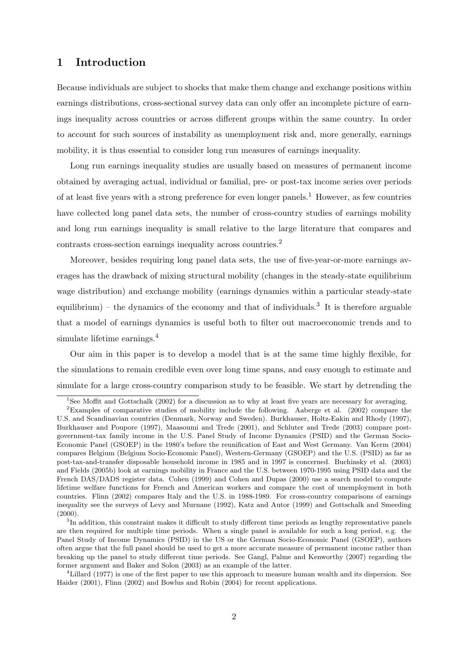## 1 Introduction

Because individuals are subject to shocks that make them change and exchange positions within earnings distributions, cross-sectional survey data can only offer an incomplete picture of earnings inequality across countries or across different groups within the same country. In order to account for such sources of instability as unemployment risk and, more generally, earnings mobility, it is thus essential to consider long run measures of earnings inequality.

Long run earnings inequality studies are usually based on measures of permanent income obtained by averaging actual, individual or familial, pre- or post-tax income series over periods of at least five years with a strong preference for even longer panels.<sup>1</sup> However, as few countries have collected long panel data sets, the number of cross-country studies of earnings mobility and long run earnings inequality is small relative to the large literature that compares and contrasts cross-section earnings inequality across countries.<sup>2</sup>

Moreover, besides requiring long panel data sets, the use of five-year-or-more earnings averages has the drawback of mixing structural mobility (changes in the steady-state equilibrium wage distribution) and exchange mobility (earnings dynamics within a particular steady-state equilibrium) – the dynamics of the economy and that of individuals.<sup>3</sup> It is therefore arguable that a model of earnings dynamics is useful both to filter out macroeconomic trends and to simulate lifetime earnings.<sup>4</sup>

Our aim in this paper is to develop a model that is at the same time highly flexible, for the simulations to remain credible even over long time spans, and easy enough to estimate and simulate for a large cross-country comparison study to be feasible. We start by detrending the

<sup>&</sup>lt;sup>1</sup>See Moffit and Gottschalk (2002) for a discussion as to why at least five years are necessary for averaging.

<sup>2</sup>Examples of comparative studies of mobility include the following. Aaberge et al. (2002) compare the U.S. and Scandinavian countries (Denmark, Norway and Sweden). Burkhauser, Holtz-Eakin and Rhody (1997), Burkhauser and Poupore (1997), Maasoumi and Trede (2001), and Schluter and Trede (2003) compare postgovernment-tax family income in the U.S. Panel Study of Income Dynamics (PSID) and the German Socio-Economic Panel (GSOEP) in the 1980's before the reunification of East and West Germany. Van Kerm (2004) compares Belgium (Belgium Socio-Economic Panel), Western-Germany (GSOEP) and the U.S. (PSID) as far as post-tax-and-transfer disposable household income in 1985 and in 1997 is concerned. Buchinsky et al. (2003) and Fields (2005b) look at earnings mobility in France and the U.S. between 1970-1995 using PSID data and the French DAS/DADS register data. Cohen (1999) and Cohen and Dupas (2000) use a search model to compute lifetime welfare functions for French and American workers and compare the cost of unemployment in both countries. Flinn (2002) compares Italy and the U.S. in 1988-1989. For cross-country comparisons of earnings inequality see the surveys of Levy and Murnane (1992), Katz and Autor (1999) and Gottschalk and Smeeding  $(2000).$ 

 ${}^{3}\text{In}$  addition, this constraint makes it difficult to study different time periods as lengthy representative panels are then required for multiple time periods. When a single panel is available for such a long period, e.g. the Panel Study of Income Dynamics (PSID) in the US or the German Socio-Economic Panel (GSOEP), authors often argue that the full panel should be used to get a more accurate measure of permanent income rather than breaking up the panel to study different time periods. See Gangl, Palme and Kenworthy (2007) regarding the former argument and Baker and Solon (2003) as an example of the latter.

<sup>4</sup>Lillard (1977) is one of the first paper to use this approach to measure human wealth and its dispersion. See Haider (2001), Flinn (2002) and Bowlus and Robin (2004) for recent applications.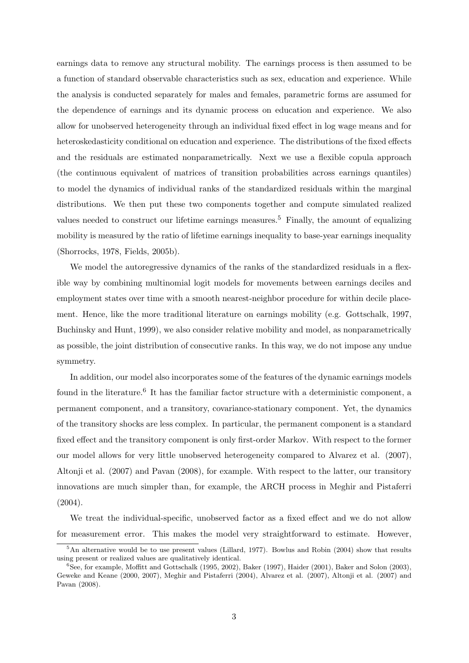earnings data to remove any structural mobility. The earnings process is then assumed to be a function of standard observable characteristics such as sex, education and experience. While the analysis is conducted separately for males and females, parametric forms are assumed for the dependence of earnings and its dynamic process on education and experience. We also allow for unobserved heterogeneity through an individual fixed effect in log wage means and for heteroskedasticity conditional on education and experience. The distributions of the fixed effects and the residuals are estimated nonparametrically. Next we use a flexible copula approach (the continuous equivalent of matrices of transition probabilities across earnings quantiles) to model the dynamics of individual ranks of the standardized residuals within the marginal distributions. We then put these two components together and compute simulated realized values needed to construct our lifetime earnings measures.<sup>5</sup> Finally, the amount of equalizing mobility is measured by the ratio of lifetime earnings inequality to base-year earnings inequality (Shorrocks, 1978, Fields, 2005b).

We model the autoregressive dynamics of the ranks of the standardized residuals in a flexible way by combining multinomial logit models for movements between earnings deciles and employment states over time with a smooth nearest-neighbor procedure for within decile placement. Hence, like the more traditional literature on earnings mobility (e.g. Gottschalk, 1997, Buchinsky and Hunt, 1999), we also consider relative mobility and model, as nonparametrically as possible, the joint distribution of consecutive ranks. In this way, we do not impose any undue symmetry.

In addition, our model also incorporates some of the features of the dynamic earnings models found in the literature.<sup>6</sup> It has the familiar factor structure with a deterministic component, a permanent component, and a transitory, covariance-stationary component. Yet, the dynamics of the transitory shocks are less complex. In particular, the permanent component is a standard fixed effect and the transitory component is only first-order Markov. With respect to the former our model allows for very little unobserved heterogeneity compared to Alvarez et al. (2007), Altonji et al. (2007) and Pavan (2008), for example. With respect to the latter, our transitory innovations are much simpler than, for example, the ARCH process in Meghir and Pistaferri (2004).

We treat the individual-specific, unobserved factor as a fixed effect and we do not allow for measurement error. This makes the model very straightforward to estimate. However,

<sup>5</sup>An alternative would be to use present values (Lillard, 1977). Bowlus and Robin (2004) show that results using present or realized values are qualitatively identical.

<sup>6</sup>See, for example, Moffitt and Gottschalk (1995, 2002), Baker (1997), Haider (2001), Baker and Solon (2003), Geweke and Keane (2000, 2007), Meghir and Pistaferri (2004), Alvarez et al. (2007), Altonji et al. (2007) and Pavan (2008).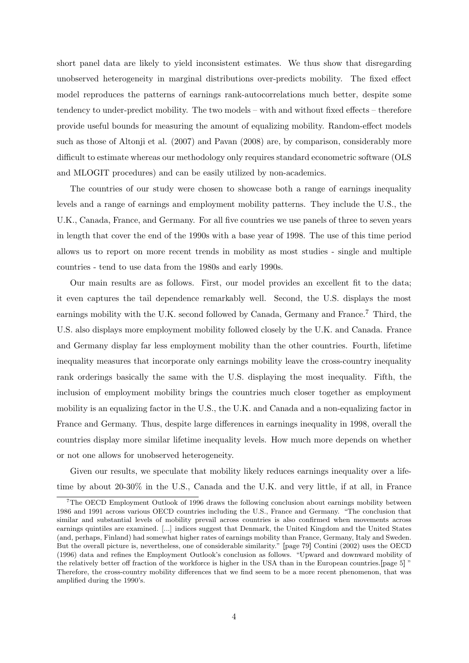short panel data are likely to yield inconsistent estimates. We thus show that disregarding unobserved heterogeneity in marginal distributions over-predicts mobility. The fixed effect model reproduces the patterns of earnings rank-autocorrelations much better, despite some tendency to under-predict mobility. The two models – with and without fixed effects – therefore provide useful bounds for measuring the amount of equalizing mobility. Random-effect models such as those of Altonji et al. (2007) and Pavan (2008) are, by comparison, considerably more difficult to estimate whereas our methodology only requires standard econometric software (OLS and MLOGIT procedures) and can be easily utilized by non-academics.

The countries of our study were chosen to showcase both a range of earnings inequality levels and a range of earnings and employment mobility patterns. They include the U.S., the U.K., Canada, France, and Germany. For all five countries we use panels of three to seven years in length that cover the end of the 1990s with a base year of 1998. The use of this time period allows us to report on more recent trends in mobility as most studies - single and multiple countries - tend to use data from the 1980s and early 1990s.

Our main results are as follows. First, our model provides an excellent fit to the data; it even captures the tail dependence remarkably well. Second, the U.S. displays the most earnings mobility with the U.K. second followed by Canada, Germany and France.<sup>7</sup> Third, the U.S. also displays more employment mobility followed closely by the U.K. and Canada. France and Germany display far less employment mobility than the other countries. Fourth, lifetime inequality measures that incorporate only earnings mobility leave the cross-country inequality rank orderings basically the same with the U.S. displaying the most inequality. Fifth, the inclusion of employment mobility brings the countries much closer together as employment mobility is an equalizing factor in the U.S., the U.K. and Canada and a non-equalizing factor in France and Germany. Thus, despite large differences in earnings inequality in 1998, overall the countries display more similar lifetime inequality levels. How much more depends on whether or not one allows for unobserved heterogeneity.

Given our results, we speculate that mobility likely reduces earnings inequality over a lifetime by about 20-30% in the U.S., Canada and the U.K. and very little, if at all, in France

<sup>7</sup>The OECD Employment Outlook of 1996 draws the following conclusion about earnings mobility between 1986 and 1991 across various OECD countries including the U.S., France and Germany. "The conclusion that similar and substantial levels of mobility prevail across countries is also confirmed when movements across earnings quintiles are examined. [...] indices suggest that Denmark, the United Kingdom and the United States (and, perhaps, Finland) had somewhat higher rates of earnings mobility than France, Germany, Italy and Sweden. But the overall picture is, nevertheless, one of considerable similarity." [page 79] Contini (2002) uses the OECD (1996) data and refines the Employment Outlook's conclusion as follows. "Upward and downward mobility of the relatively better off fraction of the workforce is higher in the USA than in the European countries.[page 5] " Therefore, the cross-country mobility differences that we find seem to be a more recent phenomenon, that was amplified during the 1990's.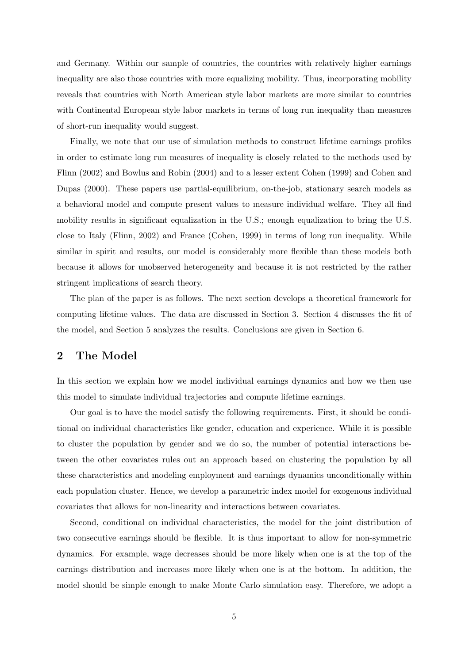and Germany. Within our sample of countries, the countries with relatively higher earnings inequality are also those countries with more equalizing mobility. Thus, incorporating mobility reveals that countries with North American style labor markets are more similar to countries with Continental European style labor markets in terms of long run inequality than measures of short-run inequality would suggest.

Finally, we note that our use of simulation methods to construct lifetime earnings profiles in order to estimate long run measures of inequality is closely related to the methods used by Flinn (2002) and Bowlus and Robin (2004) and to a lesser extent Cohen (1999) and Cohen and Dupas (2000). These papers use partial-equilibrium, on-the-job, stationary search models as a behavioral model and compute present values to measure individual welfare. They all find mobility results in significant equalization in the U.S.; enough equalization to bring the U.S. close to Italy (Flinn, 2002) and France (Cohen, 1999) in terms of long run inequality. While similar in spirit and results, our model is considerably more flexible than these models both because it allows for unobserved heterogeneity and because it is not restricted by the rather stringent implications of search theory.

The plan of the paper is as follows. The next section develops a theoretical framework for computing lifetime values. The data are discussed in Section 3. Section 4 discusses the fit of the model, and Section 5 analyzes the results. Conclusions are given in Section 6.

## 2 The Model

In this section we explain how we model individual earnings dynamics and how we then use this model to simulate individual trajectories and compute lifetime earnings.

Our goal is to have the model satisfy the following requirements. First, it should be conditional on individual characteristics like gender, education and experience. While it is possible to cluster the population by gender and we do so, the number of potential interactions between the other covariates rules out an approach based on clustering the population by all these characteristics and modeling employment and earnings dynamics unconditionally within each population cluster. Hence, we develop a parametric index model for exogenous individual covariates that allows for non-linearity and interactions between covariates.

Second, conditional on individual characteristics, the model for the joint distribution of two consecutive earnings should be flexible. It is thus important to allow for non-symmetric dynamics. For example, wage decreases should be more likely when one is at the top of the earnings distribution and increases more likely when one is at the bottom. In addition, the model should be simple enough to make Monte Carlo simulation easy. Therefore, we adopt a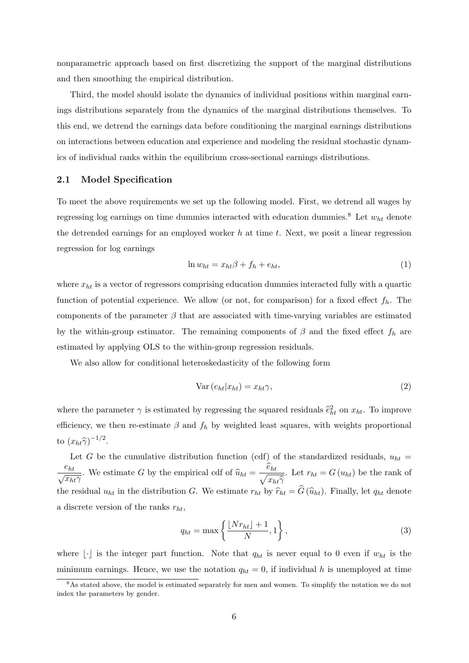nonparametric approach based on first discretizing the support of the marginal distributions and then smoothing the empirical distribution.

Third, the model should isolate the dynamics of individual positions within marginal earnings distributions separately from the dynamics of the marginal distributions themselves. To this end, we detrend the earnings data before conditioning the marginal earnings distributions on interactions between education and experience and modeling the residual stochastic dynamics of individual ranks within the equilibrium cross-sectional earnings distributions.

#### 2.1 Model Specification

To meet the above requirements we set up the following model. First, we detrend all wages by regressing log earnings on time dummies interacted with education dummies.<sup>8</sup> Let  $w_{ht}$  denote the detrended earnings for an employed worker  $h$  at time  $t$ . Next, we posit a linear regression regression for log earnings

$$
\ln w_{ht} = x_{ht}\beta + f_h + e_{ht},\tag{1}
$$

where  $x_{ht}$  is a vector of regressors comprising education dummies interacted fully with a quartic function of potential experience. We allow (or not, for comparison) for a fixed effect  $f_h$ . The components of the parameter  $\beta$  that are associated with time-varying variables are estimated by the within-group estimator. The remaining components of  $\beta$  and the fixed effect  $f_h$  are estimated by applying OLS to the within-group regression residuals.

We also allow for conditional heteroskedasticity of the following form

$$
Var(e_{ht}|x_{ht}) = x_{ht}\gamma,
$$
\n(2)

where the parameter  $\gamma$  is estimated by regressing the squared residuals  $\hat{e}^2_{ht}$  on  $x_{ht}$ . To improve efficiency, we then re-estimate  $\beta$  and  $f_h$  by weighted least squares, with weights proportional to  $(x_{ht}\hat{\gamma})^{-1/2}$ .

Let G be the cumulative distribution function (cdf) of the standardized residuals,  $u_{ht}$  = eht  $\frac{e_{ht}}{\sqrt{x_{ht}\gamma}}$ . We estimate G by the empirical cdf of  $\widehat{u}_{ht} = \frac{\widehat{e}_{ht}}{\sqrt{x_h}}$  $x_{ht}\widehat{\gamma}$ . Let  $r_{ht} = G(u_{ht})$  be the rank of the residual  $u_{ht}$  in the distribution G. We estimate  $r_{ht}$  by  $\hat{r}_{ht} = \hat{G}(\hat{u}_{ht})$ . Finally, let  $q_{ht}$  denote a discrete version of the ranks  $r_{ht}$ ,

$$
q_{ht} = \max\left\{\frac{\lfloor Nr_{ht}\rfloor + 1}{N}, 1\right\},\tag{3}
$$

where  $\lfloor \cdot \rfloor$  is the integer part function. Note that  $q_{ht}$  is never equal to 0 even if  $w_{ht}$  is the minimum earnings. Hence, we use the notation  $q_{ht} = 0$ , if individual h is unemployed at time

<sup>&</sup>lt;sup>8</sup>As stated above, the model is estimated separately for men and women. To simplify the notation we do not index the parameters by gender.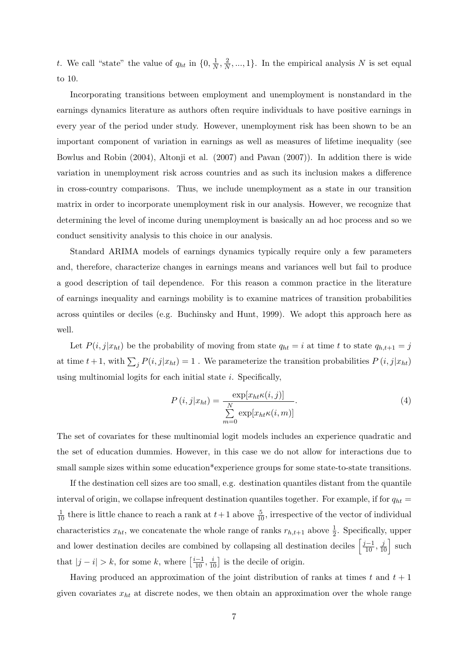t. We call "state" the value of  $q_{ht}$  in  $\{0, \frac{1}{N}\}$  $\frac{1}{N}, \frac{2}{N}$  $\frac{2}{N}, ..., 1$ . In the empirical analysis N is set equal to 10.

Incorporating transitions between employment and unemployment is nonstandard in the earnings dynamics literature as authors often require individuals to have positive earnings in every year of the period under study. However, unemployment risk has been shown to be an important component of variation in earnings as well as measures of lifetime inequality (see Bowlus and Robin (2004), Altonji et al. (2007) and Pavan (2007)). In addition there is wide variation in unemployment risk across countries and as such its inclusion makes a difference in cross-country comparisons. Thus, we include unemployment as a state in our transition matrix in order to incorporate unemployment risk in our analysis. However, we recognize that determining the level of income during unemployment is basically an ad hoc process and so we conduct sensitivity analysis to this choice in our analysis.

Standard ARIMA models of earnings dynamics typically require only a few parameters and, therefore, characterize changes in earnings means and variances well but fail to produce a good description of tail dependence. For this reason a common practice in the literature of earnings inequality and earnings mobility is to examine matrices of transition probabilities across quintiles or deciles (e.g. Buchinsky and Hunt, 1999). We adopt this approach here as well.

Let  $P(i, j|x_{ht})$  be the probability of moving from state  $q_{ht} = i$  at time t to state  $q_{h,t+1} = j$ at time  $t + 1$ , with  $\sum_j P(i, j|x_{ht}) = 1$ . We parameterize the transition probabilities  $P(i, j|x_{ht})$ using multinomial logits for each initial state  $i$ . Specifically,

$$
P(i,j|x_{ht}) = \frac{\exp[x_{ht}\kappa(i,j)]}{\sum_{m=0}^{N} \exp[x_{ht}\kappa(i,m)]}.
$$
 (4)

The set of covariates for these multinomial logit models includes an experience quadratic and the set of education dummies. However, in this case we do not allow for interactions due to small sample sizes within some education\*experience groups for some state-to-state transitions.

If the destination cell sizes are too small, e.g. destination quantiles distant from the quantile interval of origin, we collapse infrequent destination quantiles together. For example, if for  $q_{ht}$  =  $\frac{1}{10}$  there is little chance to reach a rank at  $t+1$  above  $\frac{5}{10}$ , irrespective of the vector of individual characteristics  $x_{ht}$ , we concatenate the whole range of ranks  $r_{h,t+1}$  above  $\frac{1}{2}$ . Specifically, upper and lower destination deciles are combined by collapsing all destination deciles  $\left[\frac{j-1}{10},\frac{j}{10}\right]$  such that  $|j - i| > k$ , for some k, where  $\left[\frac{i-1}{10}, \frac{i}{10}\right]$  is the decile of origin.

Having produced an approximation of the joint distribution of ranks at times t and  $t + 1$ given covariates  $x_{ht}$  at discrete nodes, we then obtain an approximation over the whole range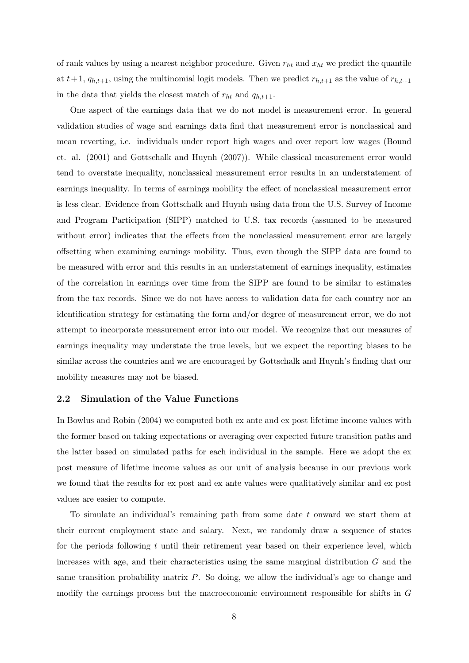of rank values by using a nearest neighbor procedure. Given  $r_{ht}$  and  $x_{ht}$  we predict the quantile at  $t+1$ ,  $q_{h,t+1}$ , using the multinomial logit models. Then we predict  $r_{h,t+1}$  as the value of  $r_{h,t+1}$ in the data that yields the closest match of  $r_{ht}$  and  $q_{h,t+1}$ .

One aspect of the earnings data that we do not model is measurement error. In general validation studies of wage and earnings data find that measurement error is nonclassical and mean reverting, i.e. individuals under report high wages and over report low wages (Bound et. al. (2001) and Gottschalk and Huynh (2007)). While classical measurement error would tend to overstate inequality, nonclassical measurement error results in an understatement of earnings inequality. In terms of earnings mobility the effect of nonclassical measurement error is less clear. Evidence from Gottschalk and Huynh using data from the U.S. Survey of Income and Program Participation (SIPP) matched to U.S. tax records (assumed to be measured without error) indicates that the effects from the nonclassical measurement error are largely offsetting when examining earnings mobility. Thus, even though the SIPP data are found to be measured with error and this results in an understatement of earnings inequality, estimates of the correlation in earnings over time from the SIPP are found to be similar to estimates from the tax records. Since we do not have access to validation data for each country nor an identification strategy for estimating the form and/or degree of measurement error, we do not attempt to incorporate measurement error into our model. We recognize that our measures of earnings inequality may understate the true levels, but we expect the reporting biases to be similar across the countries and we are encouraged by Gottschalk and Huynh's finding that our mobility measures may not be biased.

#### 2.2 Simulation of the Value Functions

In Bowlus and Robin (2004) we computed both ex ante and ex post lifetime income values with the former based on taking expectations or averaging over expected future transition paths and the latter based on simulated paths for each individual in the sample. Here we adopt the ex post measure of lifetime income values as our unit of analysis because in our previous work we found that the results for ex post and ex ante values were qualitatively similar and ex post values are easier to compute.

To simulate an individual's remaining path from some date t onward we start them at their current employment state and salary. Next, we randomly draw a sequence of states for the periods following  $t$  until their retirement year based on their experience level, which increases with age, and their characteristics using the same marginal distribution  $G$  and the same transition probability matrix P. So doing, we allow the individual's age to change and modify the earnings process but the macroeconomic environment responsible for shifts in G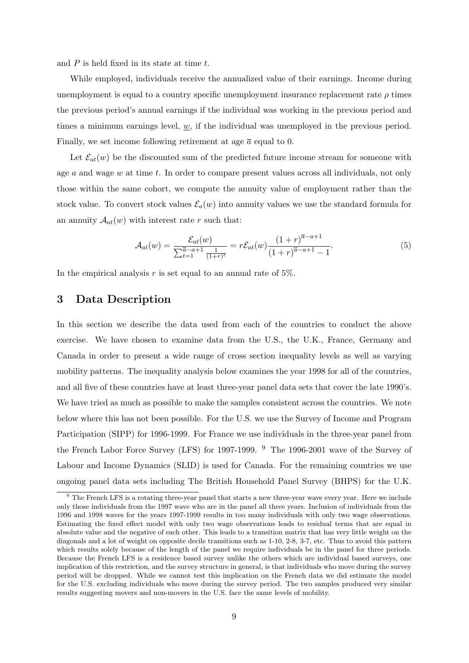and  $P$  is held fixed in its state at time  $t$ .

While employed, individuals receive the annualized value of their earnings. Income during unemployment is equal to a country specific unemployment insurance replacement rate  $\rho$  times the previous period's annual earnings if the individual was working in the previous period and times a minimum earnings level,  $w$ , if the individual was unemployed in the previous period. Finally, we set income following retirement at age  $\bar{a}$  equal to 0.

Let  $\mathcal{E}_{at}(w)$  be the discounted sum of the predicted future income stream for someone with age  $a$  and wage  $w$  at time  $t$ . In order to compare present values across all individuals, not only those within the same cohort, we compute the annuity value of employment rather than the stock value. To convert stock values  $\mathcal{E}_a(w)$  into annuity values we use the standard formula for an annuity  $A_{at}(w)$  with interest rate r such that:

$$
\mathcal{A}_{at}(w) = \frac{\mathcal{E}_{at}(w)}{\sum_{t=1}^{\overline{a}-a+1} \frac{1}{(1+r)^t}} = r\mathcal{E}_{at}(w) \frac{(1+r)^{\overline{a}-a+1}}{(1+r)^{\overline{a}-a+1}-1}.
$$
(5)

In the empirical analysis  $r$  is set equal to an annual rate of 5%.

## 3 Data Description

In this section we describe the data used from each of the countries to conduct the above exercise. We have chosen to examine data from the U.S., the U.K., France, Germany and Canada in order to present a wide range of cross section inequality levels as well as varying mobility patterns. The inequality analysis below examines the year 1998 for all of the countries, and all five of these countries have at least three-year panel data sets that cover the late 1990's. We have tried as much as possible to make the samples consistent across the countries. We note below where this has not been possible. For the U.S. we use the Survey of Income and Program Participation (SIPP) for 1996-1999. For France we use individuals in the three-year panel from the French Labor Force Survey (LFS) for 1997-1999. <sup>9</sup> The 1996-2001 wave of the Survey of Labour and Income Dynamics (SLID) is used for Canada. For the remaining countries we use ongoing panel data sets including The British Household Panel Survey (BHPS) for the U.K.

<sup>9</sup> The French LFS is a rotating three-year panel that starts a new three-year wave every year. Here we include only those individuals from the 1997 wave who are in the panel all three years. Inclusion of individuals from the 1996 and 1998 waves for the years 1997-1999 results in too many individuals with only two wage observations. Estimating the fixed effect model with only two wage observations leads to residual terms that are equal in absolute value and the negative of each other. This leads to a transition matrix that has very little weight on the diagonals and a lot of weight on opposite decile transitions such as 1-10, 2-8, 3-7, etc. Thus to avoid this pattern which results solely because of the length of the panel we require individuals be in the panel for three periods. Because the French LFS is a residence based survey unlike the others which are individual based surveys, one implication of this restriction, and the survey structure in general, is that individuals who move during the survey period will be dropped. While we cannot test this implication on the French data we did estimate the model for the U.S. excluding individuals who move during the survey period. The two samples produced very similar results suggesting movers and non-movers in the U.S. face the same levels of mobility.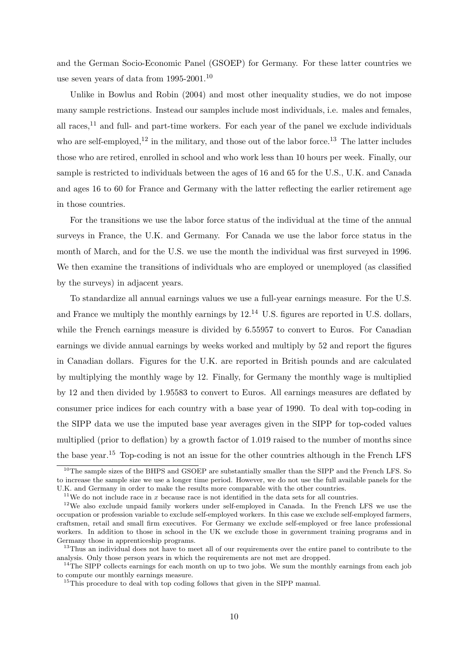and the German Socio-Economic Panel (GSOEP) for Germany. For these latter countries we use seven years of data from 1995-2001.<sup>10</sup>

Unlike in Bowlus and Robin (2004) and most other inequality studies, we do not impose many sample restrictions. Instead our samples include most individuals, i.e. males and females, all races, $^{11}$  and full- and part-time workers. For each year of the panel we exclude individuals who are self-employed,<sup>12</sup> in the military, and those out of the labor force.<sup>13</sup> The latter includes those who are retired, enrolled in school and who work less than 10 hours per week. Finally, our sample is restricted to individuals between the ages of 16 and 65 for the U.S., U.K. and Canada and ages 16 to 60 for France and Germany with the latter reflecting the earlier retirement age in those countries.

For the transitions we use the labor force status of the individual at the time of the annual surveys in France, the U.K. and Germany. For Canada we use the labor force status in the month of March, and for the U.S. we use the month the individual was first surveyed in 1996. We then examine the transitions of individuals who are employed or unemployed (as classified by the surveys) in adjacent years.

To standardize all annual earnings values we use a full-year earnings measure. For the U.S. and France we multiply the monthly earnings by  $12^{14}$  U.S. figures are reported in U.S. dollars, while the French earnings measure is divided by 6.55957 to convert to Euros. For Canadian earnings we divide annual earnings by weeks worked and multiply by 52 and report the figures in Canadian dollars. Figures for the U.K. are reported in British pounds and are calculated by multiplying the monthly wage by 12. Finally, for Germany the monthly wage is multiplied by 12 and then divided by 1.95583 to convert to Euros. All earnings measures are deflated by consumer price indices for each country with a base year of 1990. To deal with top-coding in the SIPP data we use the imputed base year averages given in the SIPP for top-coded values multiplied (prior to deflation) by a growth factor of 1.019 raised to the number of months since the base year.<sup>15</sup> Top-coding is not an issue for the other countries although in the French LFS

<sup>&</sup>lt;sup>10</sup>The sample sizes of the BHPS and GSOEP are substantially smaller than the SIPP and the French LFS. So to increase the sample size we use a longer time period. However, we do not use the full available panels for the U.K. and Germany in order to make the results more comparable with the other countries.

<sup>&</sup>lt;sup>11</sup>We do not include race in x because race is not identified in the data sets for all countries.

<sup>&</sup>lt;sup>12</sup>We also exclude unpaid family workers under self-employed in Canada. In the French LFS we use the occupation or profession variable to exclude self-employed workers. In this case we exclude self-employed farmers, craftsmen, retail and small firm executives. For Germany we exclude self-employed or free lance professional workers. In addition to those in school in the UK we exclude those in government training programs and in Germany those in apprenticeship programs.

<sup>&</sup>lt;sup>13</sup>Thus an individual does not have to meet all of our requirements over the entire panel to contribute to the analysis. Only those person years in which the requirements are not met are dropped.

 $14$ The SIPP collects earnings for each month on up to two jobs. We sum the monthly earnings from each job to compute our monthly earnings measure.

<sup>&</sup>lt;sup>15</sup>This procedure to deal with top coding follows that given in the SIPP manual.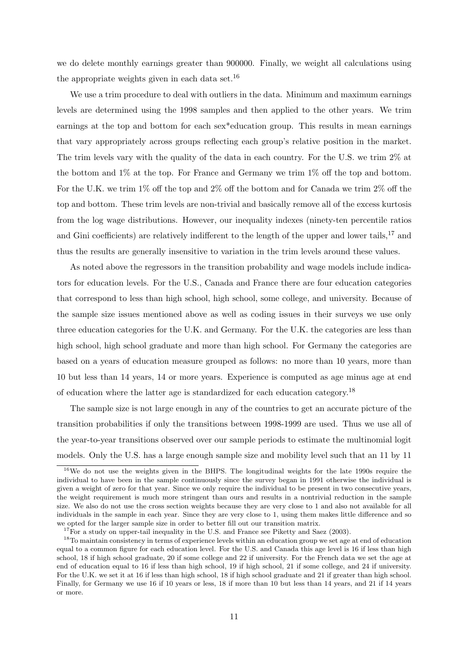we do delete monthly earnings greater than 900000. Finally, we weight all calculations using the appropriate weights given in each data set.<sup>16</sup>

We use a trim procedure to deal with outliers in the data. Minimum and maximum earnings levels are determined using the 1998 samples and then applied to the other years. We trim earnings at the top and bottom for each sex\*education group. This results in mean earnings that vary appropriately across groups reflecting each group's relative position in the market. The trim levels vary with the quality of the data in each country. For the U.S. we trim 2% at the bottom and 1% at the top. For France and Germany we trim 1% off the top and bottom. For the U.K. we trim 1% off the top and 2% off the bottom and for Canada we trim 2% off the top and bottom. These trim levels are non-trivial and basically remove all of the excess kurtosis from the log wage distributions. However, our inequality indexes (ninety-ten percentile ratios and Gini coefficients) are relatively indifferent to the length of the upper and lower tails,<sup>17</sup> and thus the results are generally insensitive to variation in the trim levels around these values.

As noted above the regressors in the transition probability and wage models include indicators for education levels. For the U.S., Canada and France there are four education categories that correspond to less than high school, high school, some college, and university. Because of the sample size issues mentioned above as well as coding issues in their surveys we use only three education categories for the U.K. and Germany. For the U.K. the categories are less than high school, high school graduate and more than high school. For Germany the categories are based on a years of education measure grouped as follows: no more than 10 years, more than 10 but less than 14 years, 14 or more years. Experience is computed as age minus age at end of education where the latter age is standardized for each education category.<sup>18</sup>

The sample size is not large enough in any of the countries to get an accurate picture of the transition probabilities if only the transitions between 1998-1999 are used. Thus we use all of the year-to-year transitions observed over our sample periods to estimate the multinomial logit models. Only the U.S. has a large enough sample size and mobility level such that an 11 by 11

<sup>&</sup>lt;sup>16</sup>We do not use the weights given in the BHPS. The longitudinal weights for the late 1990s require the individual to have been in the sample continuously since the survey began in 1991 otherwise the individual is given a weight of zero for that year. Since we only require the individual to be present in two consecutive years, the weight requirement is much more stringent than ours and results in a nontrivial reduction in the sample size. We also do not use the cross section weights because they are very close to 1 and also not available for all individuals in the sample in each year. Since they are very close to 1, using them makes little difference and so we opted for the larger sample size in order to better fill out our transition matrix.

<sup>&</sup>lt;sup>17</sup>For a study on upper-tail inequality in the U.S. and France see Piketty and Saez (2003).

<sup>&</sup>lt;sup>18</sup>To maintain consistency in terms of experience levels within an education group we set age at end of education equal to a common figure for each education level. For the U.S. and Canada this age level is 16 if less than high school, 18 if high school graduate, 20 if some college and 22 if university. For the French data we set the age at end of education equal to 16 if less than high school, 19 if high school, 21 if some college, and 24 if university. For the U.K. we set it at 16 if less than high school, 18 if high school graduate and 21 if greater than high school. Finally, for Germany we use 16 if 10 years or less, 18 if more than 10 but less than 14 years, and 21 if 14 years or more.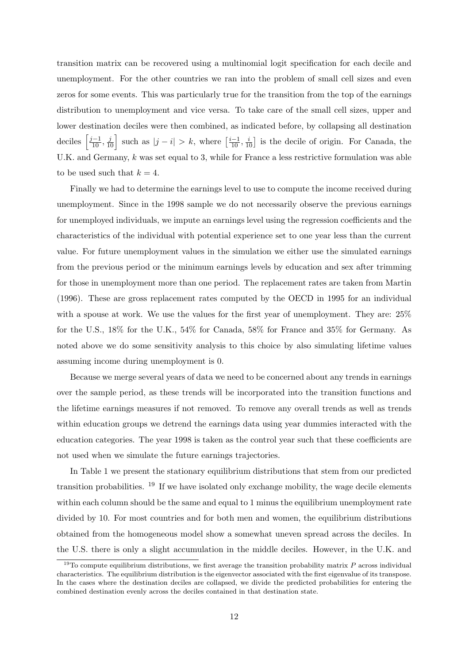transition matrix can be recovered using a multinomial logit specification for each decile and unemployment. For the other countries we ran into the problem of small cell sizes and even zeros for some events. This was particularly true for the transition from the top of the earnings distribution to unemployment and vice versa. To take care of the small cell sizes, upper and lower destination deciles were then combined, as indicated before, by collapsing all destination deciles  $\left[\frac{j-1}{10}, \frac{j}{10}\right]$  such as  $|j - i| > k$ , where  $\left[\frac{i-1}{10}, \frac{i}{10}\right]$  is the decile of origin. For Canada, the U.K. and Germany,  $k$  was set equal to 3, while for France a less restrictive formulation was able to be used such that  $k = 4$ .

Finally we had to determine the earnings level to use to compute the income received during unemployment. Since in the 1998 sample we do not necessarily observe the previous earnings for unemployed individuals, we impute an earnings level using the regression coefficients and the characteristics of the individual with potential experience set to one year less than the current value. For future unemployment values in the simulation we either use the simulated earnings from the previous period or the minimum earnings levels by education and sex after trimming for those in unemployment more than one period. The replacement rates are taken from Martin (1996). These are gross replacement rates computed by the OECD in 1995 for an individual with a spouse at work. We use the values for the first year of unemployment. They are: 25% for the U.S., 18% for the U.K., 54% for Canada, 58% for France and 35% for Germany. As noted above we do some sensitivity analysis to this choice by also simulating lifetime values assuming income during unemployment is 0.

Because we merge several years of data we need to be concerned about any trends in earnings over the sample period, as these trends will be incorporated into the transition functions and the lifetime earnings measures if not removed. To remove any overall trends as well as trends within education groups we detrend the earnings data using year dummies interacted with the education categories. The year 1998 is taken as the control year such that these coefficients are not used when we simulate the future earnings trajectories.

In Table 1 we present the stationary equilibrium distributions that stem from our predicted transition probabilities.  $^{19}$  If we have isolated only exchange mobility, the wage decile elements within each column should be the same and equal to 1 minus the equilibrium unemployment rate divided by 10. For most countries and for both men and women, the equilibrium distributions obtained from the homogeneous model show a somewhat uneven spread across the deciles. In the U.S. there is only a slight accumulation in the middle deciles. However, in the U.K. and

<sup>&</sup>lt;sup>19</sup>To compute equilibrium distributions, we first average the transition probability matrix  $P$  across individual characteristics. The equilibrium distribution is the eigenvector associated with the first eigenvalue of its transpose. In the cases where the destination deciles are collapsed, we divide the predicted probabilities for entering the combined destination evenly across the deciles contained in that destination state.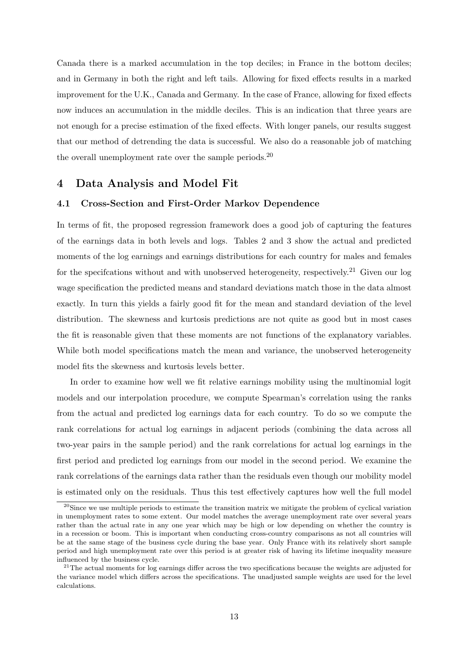Canada there is a marked accumulation in the top deciles; in France in the bottom deciles; and in Germany in both the right and left tails. Allowing for fixed effects results in a marked improvement for the U.K., Canada and Germany. In the case of France, allowing for fixed effects now induces an accumulation in the middle deciles. This is an indication that three years are not enough for a precise estimation of the fixed effects. With longer panels, our results suggest that our method of detrending the data is successful. We also do a reasonable job of matching the overall unemployment rate over the sample periods.<sup>20</sup>

## 4 Data Analysis and Model Fit

#### 4.1 Cross-Section and First-Order Markov Dependence

In terms of fit, the proposed regression framework does a good job of capturing the features of the earnings data in both levels and logs. Tables 2 and 3 show the actual and predicted moments of the log earnings and earnings distributions for each country for males and females for the specifications without and with unobserved heterogeneity, respectively.<sup>21</sup> Given our log wage specification the predicted means and standard deviations match those in the data almost exactly. In turn this yields a fairly good fit for the mean and standard deviation of the level distribution. The skewness and kurtosis predictions are not quite as good but in most cases the fit is reasonable given that these moments are not functions of the explanatory variables. While both model specifications match the mean and variance, the unobserved heterogeneity model fits the skewness and kurtosis levels better.

In order to examine how well we fit relative earnings mobility using the multinomial logit models and our interpolation procedure, we compute Spearman's correlation using the ranks from the actual and predicted log earnings data for each country. To do so we compute the rank correlations for actual log earnings in adjacent periods (combining the data across all two-year pairs in the sample period) and the rank correlations for actual log earnings in the first period and predicted log earnings from our model in the second period. We examine the rank correlations of the earnings data rather than the residuals even though our mobility model is estimated only on the residuals. Thus this test effectively captures how well the full model

<sup>&</sup>lt;sup>20</sup>Since we use multiple periods to estimate the transition matrix we mitigate the problem of cyclical variation in unemployment rates to some extent. Our model matches the average unemployment rate over several years rather than the actual rate in any one year which may be high or low depending on whether the country is in a recession or boom. This is important when conducting cross-country comparisons as not all countries will be at the same stage of the business cycle during the base year. Only France with its relatively short sample period and high unemployment rate over this period is at greater risk of having its lifetime inequality measure influenced by the business cycle.

 $21$ The actual moments for log earnings differ across the two specifications because the weights are adjusted for the variance model which differs across the specifications. The unadjusted sample weights are used for the level calculations.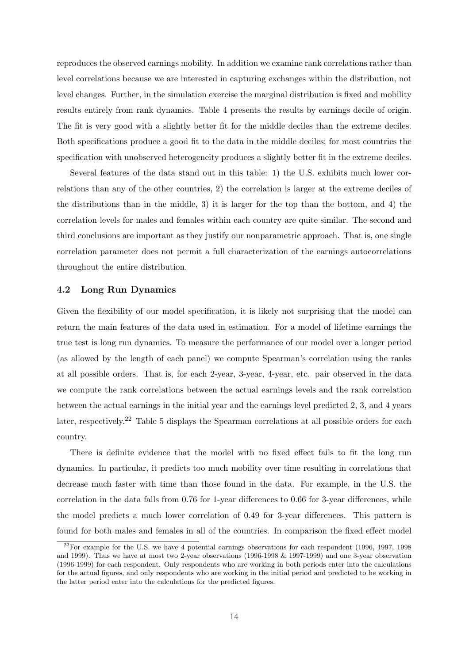reproduces the observed earnings mobility. In addition we examine rank correlations rather than level correlations because we are interested in capturing exchanges within the distribution, not level changes. Further, in the simulation exercise the marginal distribution is fixed and mobility results entirely from rank dynamics. Table 4 presents the results by earnings decile of origin. The fit is very good with a slightly better fit for the middle deciles than the extreme deciles. Both specifications produce a good fit to the data in the middle deciles; for most countries the specification with unobserved heterogeneity produces a slightly better fit in the extreme deciles.

Several features of the data stand out in this table: 1) the U.S. exhibits much lower correlations than any of the other countries, 2) the correlation is larger at the extreme deciles of the distributions than in the middle, 3) it is larger for the top than the bottom, and 4) the correlation levels for males and females within each country are quite similar. The second and third conclusions are important as they justify our nonparametric approach. That is, one single correlation parameter does not permit a full characterization of the earnings autocorrelations throughout the entire distribution.

#### 4.2 Long Run Dynamics

Given the flexibility of our model specification, it is likely not surprising that the model can return the main features of the data used in estimation. For a model of lifetime earnings the true test is long run dynamics. To measure the performance of our model over a longer period (as allowed by the length of each panel) we compute Spearman's correlation using the ranks at all possible orders. That is, for each 2-year, 3-year, 4-year, etc. pair observed in the data we compute the rank correlations between the actual earnings levels and the rank correlation between the actual earnings in the initial year and the earnings level predicted 2, 3, and 4 years later, respectively.<sup>22</sup> Table 5 displays the Spearman correlations at all possible orders for each country.

There is definite evidence that the model with no fixed effect fails to fit the long run dynamics. In particular, it predicts too much mobility over time resulting in correlations that decrease much faster with time than those found in the data. For example, in the U.S. the correlation in the data falls from 0.76 for 1-year differences to 0.66 for 3-year differences, while the model predicts a much lower correlation of 0.49 for 3-year differences. This pattern is found for both males and females in all of the countries. In comparison the fixed effect model

 $22$ For example for the U.S. we have 4 potential earnings observations for each respondent (1996, 1997, 1998) and 1999). Thus we have at most two 2-year observations (1996-1998 & 1997-1999) and one 3-year observation (1996-1999) for each respondent. Only respondents who are working in both periods enter into the calculations for the actual figures, and only respondents who are working in the initial period and predicted to be working in the latter period enter into the calculations for the predicted figures.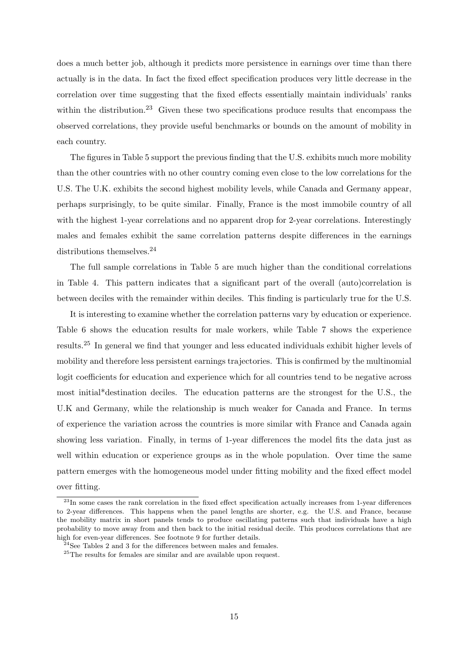does a much better job, although it predicts more persistence in earnings over time than there actually is in the data. In fact the fixed effect specification produces very little decrease in the correlation over time suggesting that the fixed effects essentially maintain individuals' ranks within the distribution.<sup>23</sup> Given these two specifications produce results that encompass the observed correlations, they provide useful benchmarks or bounds on the amount of mobility in each country.

The figures in Table 5 support the previous finding that the U.S. exhibits much more mobility than the other countries with no other country coming even close to the low correlations for the U.S. The U.K. exhibits the second highest mobility levels, while Canada and Germany appear, perhaps surprisingly, to be quite similar. Finally, France is the most immobile country of all with the highest 1-year correlations and no apparent drop for 2-year correlations. Interestingly males and females exhibit the same correlation patterns despite differences in the earnings distributions themselves.<sup>24</sup>

The full sample correlations in Table 5 are much higher than the conditional correlations in Table 4. This pattern indicates that a significant part of the overall (auto)correlation is between deciles with the remainder within deciles. This finding is particularly true for the U.S.

It is interesting to examine whether the correlation patterns vary by education or experience. Table 6 shows the education results for male workers, while Table 7 shows the experience results.<sup>25</sup> In general we find that younger and less educated individuals exhibit higher levels of mobility and therefore less persistent earnings trajectories. This is confirmed by the multinomial logit coefficients for education and experience which for all countries tend to be negative across most initial\*destination deciles. The education patterns are the strongest for the U.S., the U.K and Germany, while the relationship is much weaker for Canada and France. In terms of experience the variation across the countries is more similar with France and Canada again showing less variation. Finally, in terms of 1-year differences the model fits the data just as well within education or experience groups as in the whole population. Over time the same pattern emerges with the homogeneous model under fitting mobility and the fixed effect model over fitting.

 $^{23}$ In some cases the rank correlation in the fixed effect specification actually increases from 1-year differences to 2-year differences. This happens when the panel lengths are shorter, e.g. the U.S. and France, because the mobility matrix in short panels tends to produce oscillating patterns such that individuals have a high probability to move away from and then back to the initial residual decile. This produces correlations that are high for even-year differences. See footnote 9 for further details.

 $24$ See Tables 2 and 3 for the differences between males and females.

<sup>25</sup>The results for females are similar and are available upon request.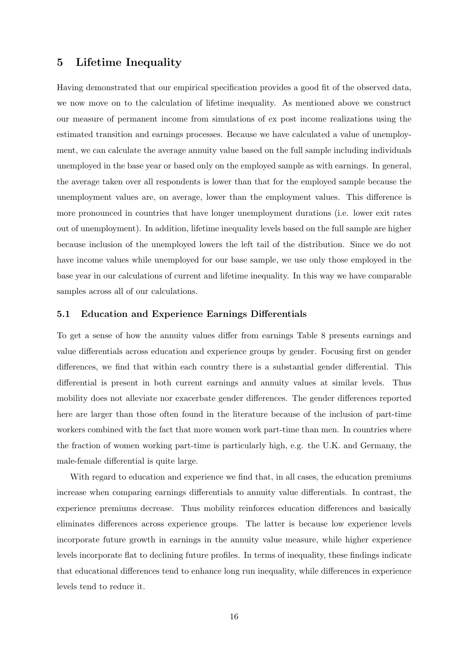## 5 Lifetime Inequality

Having demonstrated that our empirical specification provides a good fit of the observed data, we now move on to the calculation of lifetime inequality. As mentioned above we construct our measure of permanent income from simulations of ex post income realizations using the estimated transition and earnings processes. Because we have calculated a value of unemployment, we can calculate the average annuity value based on the full sample including individuals unemployed in the base year or based only on the employed sample as with earnings. In general, the average taken over all respondents is lower than that for the employed sample because the unemployment values are, on average, lower than the employment values. This difference is more pronounced in countries that have longer unemployment durations (i.e. lower exit rates out of unemployment). In addition, lifetime inequality levels based on the full sample are higher because inclusion of the unemployed lowers the left tail of the distribution. Since we do not have income values while unemployed for our base sample, we use only those employed in the base year in our calculations of current and lifetime inequality. In this way we have comparable samples across all of our calculations.

#### 5.1 Education and Experience Earnings Differentials

To get a sense of how the annuity values differ from earnings Table 8 presents earnings and value differentials across education and experience groups by gender. Focusing first on gender differences, we find that within each country there is a substantial gender differential. This differential is present in both current earnings and annuity values at similar levels. Thus mobility does not alleviate nor exacerbate gender differences. The gender differences reported here are larger than those often found in the literature because of the inclusion of part-time workers combined with the fact that more women work part-time than men. In countries where the fraction of women working part-time is particularly high, e.g. the U.K. and Germany, the male-female differential is quite large.

With regard to education and experience we find that, in all cases, the education premiums increase when comparing earnings differentials to annuity value differentials. In contrast, the experience premiums decrease. Thus mobility reinforces education differences and basically eliminates differences across experience groups. The latter is because low experience levels incorporate future growth in earnings in the annuity value measure, while higher experience levels incorporate flat to declining future profiles. In terms of inequality, these findings indicate that educational differences tend to enhance long run inequality, while differences in experience levels tend to reduce it.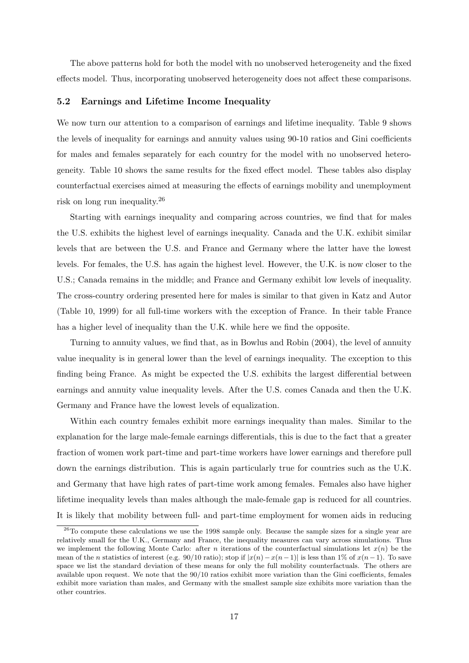The above patterns hold for both the model with no unobserved heterogeneity and the fixed effects model. Thus, incorporating unobserved heterogeneity does not affect these comparisons.

#### 5.2 Earnings and Lifetime Income Inequality

We now turn our attention to a comparison of earnings and lifetime inequality. Table 9 shows the levels of inequality for earnings and annuity values using 90-10 ratios and Gini coefficients for males and females separately for each country for the model with no unobserved heterogeneity. Table 10 shows the same results for the fixed effect model. These tables also display counterfactual exercises aimed at measuring the effects of earnings mobility and unemployment risk on long run inequality.<sup>26</sup>

Starting with earnings inequality and comparing across countries, we find that for males the U.S. exhibits the highest level of earnings inequality. Canada and the U.K. exhibit similar levels that are between the U.S. and France and Germany where the latter have the lowest levels. For females, the U.S. has again the highest level. However, the U.K. is now closer to the U.S.; Canada remains in the middle; and France and Germany exhibit low levels of inequality. The cross-country ordering presented here for males is similar to that given in Katz and Autor (Table 10, 1999) for all full-time workers with the exception of France. In their table France has a higher level of inequality than the U.K. while here we find the opposite.

Turning to annuity values, we find that, as in Bowlus and Robin (2004), the level of annuity value inequality is in general lower than the level of earnings inequality. The exception to this finding being France. As might be expected the U.S. exhibits the largest differential between earnings and annuity value inequality levels. After the U.S. comes Canada and then the U.K. Germany and France have the lowest levels of equalization.

Within each country females exhibit more earnings inequality than males. Similar to the explanation for the large male-female earnings differentials, this is due to the fact that a greater fraction of women work part-time and part-time workers have lower earnings and therefore pull down the earnings distribution. This is again particularly true for countries such as the U.K. and Germany that have high rates of part-time work among females. Females also have higher lifetime inequality levels than males although the male-female gap is reduced for all countries. It is likely that mobility between full- and part-time employment for women aids in reducing

<sup>&</sup>lt;sup>26</sup>To compute these calculations we use the 1998 sample only. Because the sample sizes for a single year are relatively small for the U.K., Germany and France, the inequality measures can vary across simulations. Thus we implement the following Monte Carlo: after *n* iterations of the counterfactual simulations let  $x(n)$  be the mean of the n statistics of interest (e.g. 90/10 ratio); stop if  $|x(n)-x(n-1)|$  is less than 1% of  $x(n-1)$ . To save space we list the standard deviation of these means for only the full mobility counterfactuals. The others are available upon request. We note that the 90/10 ratios exhibit more variation than the Gini coefficients, females exhibit more variation than males, and Germany with the smallest sample size exhibits more variation than the other countries.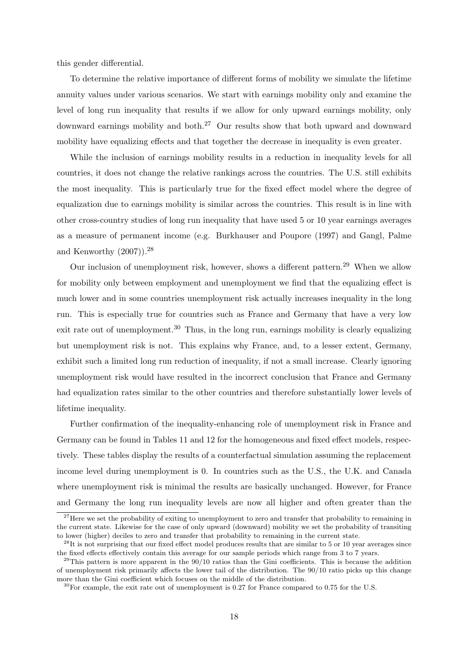this gender differential.

To determine the relative importance of different forms of mobility we simulate the lifetime annuity values under various scenarios. We start with earnings mobility only and examine the level of long run inequality that results if we allow for only upward earnings mobility, only downward earnings mobility and both.<sup>27</sup> Our results show that both upward and downward mobility have equalizing effects and that together the decrease in inequality is even greater.

While the inclusion of earnings mobility results in a reduction in inequality levels for all countries, it does not change the relative rankings across the countries. The U.S. still exhibits the most inequality. This is particularly true for the fixed effect model where the degree of equalization due to earnings mobility is similar across the countries. This result is in line with other cross-country studies of long run inequality that have used 5 or 10 year earnings averages as a measure of permanent income (e.g. Burkhauser and Poupore (1997) and Gangl, Palme and Kenworthy  $(2007)$ ).<sup>28</sup>

Our inclusion of unemployment risk, however, shows a different pattern.<sup>29</sup> When we allow for mobility only between employment and unemployment we find that the equalizing effect is much lower and in some countries unemployment risk actually increases inequality in the long run. This is especially true for countries such as France and Germany that have a very low exit rate out of unemployment.<sup>30</sup> Thus, in the long run, earnings mobility is clearly equalizing but unemployment risk is not. This explains why France, and, to a lesser extent, Germany, exhibit such a limited long run reduction of inequality, if not a small increase. Clearly ignoring unemployment risk would have resulted in the incorrect conclusion that France and Germany had equalization rates similar to the other countries and therefore substantially lower levels of lifetime inequality.

Further confirmation of the inequality-enhancing role of unemployment risk in France and Germany can be found in Tables 11 and 12 for the homogeneous and fixed effect models, respectively. These tables display the results of a counterfactual simulation assuming the replacement income level during unemployment is 0. In countries such as the U.S., the U.K. and Canada where unemployment risk is minimal the results are basically unchanged. However, for France and Germany the long run inequality levels are now all higher and often greater than the

 $27$  Here we set the probability of exiting to unemployment to zero and transfer that probability to remaining in the current state. Likewise for the case of only upward (downward) mobility we set the probability of transiting to lower (higher) deciles to zero and transfer that probability to remaining in the current state.

 $^{28}$ It is not surprising that our fixed effect model produces results that are similar to 5 or 10 year averages since the fixed effects effectively contain this average for our sample periods which range from 3 to 7 years.

 $^{29}$ This pattern is more apparent in the  $90/10$  ratios than the Gini coefficients. This is because the addition of unemployment risk primarily affects the lower tail of the distribution. The 90/10 ratio picks up this change more than the Gini coefficient which focuses on the middle of the distribution.

 $30$  For example, the exit rate out of unemployment is 0.27 for France compared to 0.75 for the U.S.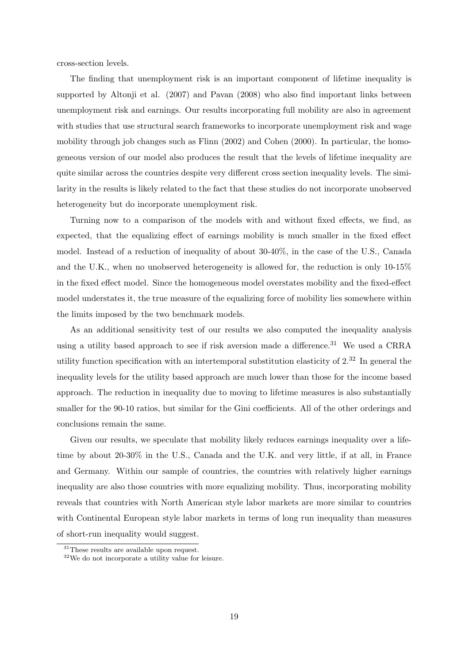cross-section levels.

The finding that unemployment risk is an important component of lifetime inequality is supported by Altonji et al. (2007) and Pavan (2008) who also find important links between unemployment risk and earnings. Our results incorporating full mobility are also in agreement with studies that use structural search frameworks to incorporate unemployment risk and wage mobility through job changes such as Flinn (2002) and Cohen (2000). In particular, the homogeneous version of our model also produces the result that the levels of lifetime inequality are quite similar across the countries despite very different cross section inequality levels. The similarity in the results is likely related to the fact that these studies do not incorporate unobserved heterogeneity but do incorporate unemployment risk.

Turning now to a comparison of the models with and without fixed effects, we find, as expected, that the equalizing effect of earnings mobility is much smaller in the fixed effect model. Instead of a reduction of inequality of about 30-40%, in the case of the U.S., Canada and the U.K., when no unobserved heterogeneity is allowed for, the reduction is only 10-15% in the fixed effect model. Since the homogeneous model overstates mobility and the fixed-effect model understates it, the true measure of the equalizing force of mobility lies somewhere within the limits imposed by the two benchmark models.

As an additional sensitivity test of our results we also computed the inequality analysis using a utility based approach to see if risk aversion made a difference.<sup>31</sup> We used a CRRA utility function specification with an intertemporal substitution elasticity of 2.<sup>32</sup> In general the inequality levels for the utility based approach are much lower than those for the income based approach. The reduction in inequality due to moving to lifetime measures is also substantially smaller for the 90-10 ratios, but similar for the Gini coefficients. All of the other orderings and conclusions remain the same.

Given our results, we speculate that mobility likely reduces earnings inequality over a lifetime by about 20-30% in the U.S., Canada and the U.K. and very little, if at all, in France and Germany. Within our sample of countries, the countries with relatively higher earnings inequality are also those countries with more equalizing mobility. Thus, incorporating mobility reveals that countries with North American style labor markets are more similar to countries with Continental European style labor markets in terms of long run inequality than measures of short-run inequality would suggest.

<sup>&</sup>lt;sup>31</sup>These results are available upon request.

<sup>32</sup>We do not incorporate a utility value for leisure.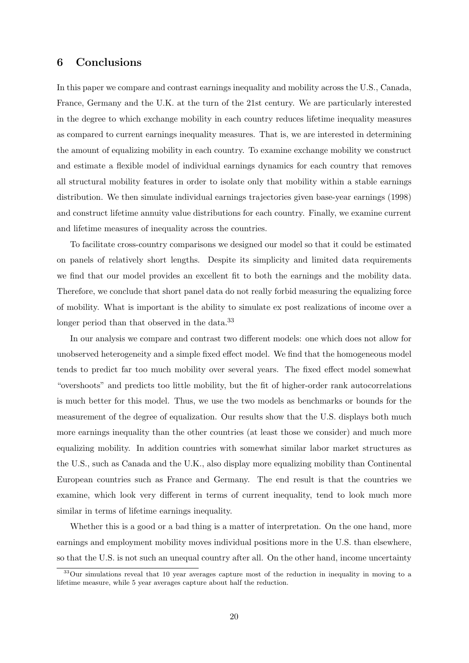## 6 Conclusions

In this paper we compare and contrast earnings inequality and mobility across the U.S., Canada, France, Germany and the U.K. at the turn of the 21st century. We are particularly interested in the degree to which exchange mobility in each country reduces lifetime inequality measures as compared to current earnings inequality measures. That is, we are interested in determining the amount of equalizing mobility in each country. To examine exchange mobility we construct and estimate a flexible model of individual earnings dynamics for each country that removes all structural mobility features in order to isolate only that mobility within a stable earnings distribution. We then simulate individual earnings trajectories given base-year earnings (1998) and construct lifetime annuity value distributions for each country. Finally, we examine current and lifetime measures of inequality across the countries.

To facilitate cross-country comparisons we designed our model so that it could be estimated on panels of relatively short lengths. Despite its simplicity and limited data requirements we find that our model provides an excellent fit to both the earnings and the mobility data. Therefore, we conclude that short panel data do not really forbid measuring the equalizing force of mobility. What is important is the ability to simulate ex post realizations of income over a longer period than that observed in the data.<sup>33</sup>

In our analysis we compare and contrast two different models: one which does not allow for unobserved heterogeneity and a simple fixed effect model. We find that the homogeneous model tends to predict far too much mobility over several years. The fixed effect model somewhat "overshoots" and predicts too little mobility, but the fit of higher-order rank autocorrelations is much better for this model. Thus, we use the two models as benchmarks or bounds for the measurement of the degree of equalization. Our results show that the U.S. displays both much more earnings inequality than the other countries (at least those we consider) and much more equalizing mobility. In addition countries with somewhat similar labor market structures as the U.S., such as Canada and the U.K., also display more equalizing mobility than Continental European countries such as France and Germany. The end result is that the countries we examine, which look very different in terms of current inequality, tend to look much more similar in terms of lifetime earnings inequality.

Whether this is a good or a bad thing is a matter of interpretation. On the one hand, more earnings and employment mobility moves individual positions more in the U.S. than elsewhere, so that the U.S. is not such an unequal country after all. On the other hand, income uncertainty

 $33$ Our simulations reveal that 10 year averages capture most of the reduction in inequality in moving to a lifetime measure, while 5 year averages capture about half the reduction.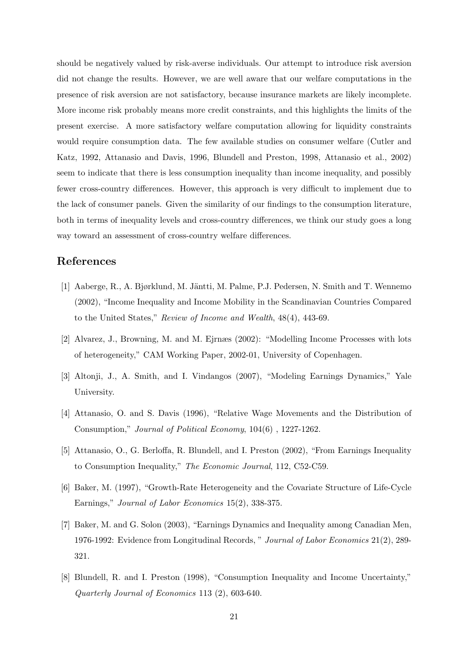should be negatively valued by risk-averse individuals. Our attempt to introduce risk aversion did not change the results. However, we are well aware that our welfare computations in the presence of risk aversion are not satisfactory, because insurance markets are likely incomplete. More income risk probably means more credit constraints, and this highlights the limits of the present exercise. A more satisfactory welfare computation allowing for liquidity constraints would require consumption data. The few available studies on consumer welfare (Cutler and Katz, 1992, Attanasio and Davis, 1996, Blundell and Preston, 1998, Attanasio et al., 2002) seem to indicate that there is less consumption inequality than income inequality, and possibly fewer cross-country differences. However, this approach is very difficult to implement due to the lack of consumer panels. Given the similarity of our findings to the consumption literature, both in terms of inequality levels and cross-country differences, we think our study goes a long way toward an assessment of cross-country welfare differences.

### References

- [1] Aaberge, R., A. Bjørklund, M. Jäntti, M. Palme, P.J. Pedersen, N. Smith and T. Wennemo (2002), "Income Inequality and Income Mobility in the Scandinavian Countries Compared to the United States," Review of Income and Wealth, 48(4), 443-69.
- [2] Alvarez, J., Browning, M. and M. Ejrnæs (2002): "Modelling Income Processes with lots of heterogeneity," CAM Working Paper, 2002-01, University of Copenhagen.
- [3] Altonji, J., A. Smith, and I. Vindangos (2007), "Modeling Earnings Dynamics," Yale University.
- [4] Attanasio, O. and S. Davis (1996), "Relative Wage Movements and the Distribution of Consumption," Journal of Political Economy, 104(6) , 1227-1262.
- [5] Attanasio, O., G. Berloffa, R. Blundell, and I. Preston (2002), "From Earnings Inequality to Consumption Inequality," The Economic Journal, 112, C52-C59.
- [6] Baker, M. (1997), "Growth-Rate Heterogeneity and the Covariate Structure of Life-Cycle Earnings," Journal of Labor Economics 15(2), 338-375.
- [7] Baker, M. and G. Solon (2003), "Earnings Dynamics and Inequality among Canadian Men, 1976-1992: Evidence from Longitudinal Records, " Journal of Labor Economics 21(2), 289- 321.
- [8] Blundell, R. and I. Preston (1998), "Consumption Inequality and Income Uncertainty," Quarterly Journal of Economics 113 (2), 603-640.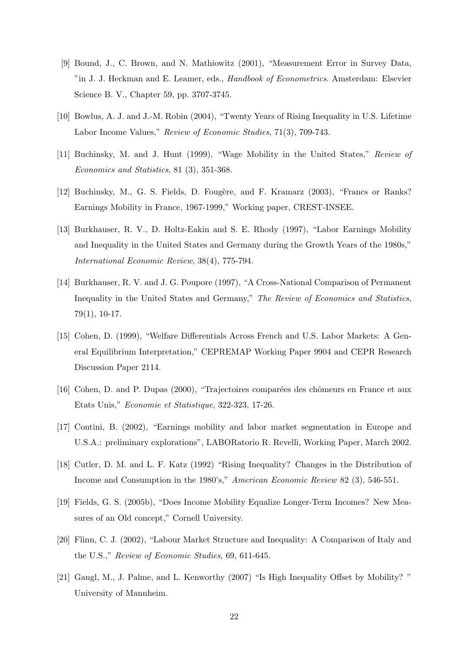- [9] Bound, J., C. Brown, and N. Mathiowitz (2001), "Measurement Error in Survey Data, "in J. J. Heckman and E. Leamer, eds., Handbook of Econometrics. Amsterdam: Elsevier Science B. V., Chapter 59, pp. 3707-3745.
- [10] Bowlus, A. J. and J.-M. Robin (2004), "Twenty Years of Rising Inequality in U.S. Lifetime Labor Income Values," Review of Economic Studies, 71(3), 709-743.
- [11] Buchinsky, M. and J. Hunt (1999), "Wage Mobility in the United States," Review of Economics and Statistics, 81 (3), 351-368.
- [12] Buchinsky, M., G. S. Fields, D. Fougère, and F. Kramarz (2003), "Francs or Ranks? Earnings Mobility in France, 1967-1999," Working paper, CREST-INSEE.
- [13] Burkhauser, R. V., D. Holtz-Eakin and S. E. Rhody (1997), "Labor Earnings Mobility and Inequality in the United States and Germany during the Growth Years of the 1980s," International Economic Review, 38(4), 775-794.
- [14] Burkhauser, R. V. and J. G. Poupore (1997), "A Cross-National Comparison of Permanent Inequality in the United States and Germany," The Review of Economics and Statistics, 79(1), 10-17.
- [15] Cohen, D. (1999), "Welfare Differentials Across French and U.S. Labor Markets: A General Equilibrium Interpretation," CEPREMAP Working Paper 9904 and CEPR Research Discussion Paper 2114.
- [16] Cohen, D. and P. Dupas (2000), "Trajectoires comparées des chômeurs en France et aux Etats Unis," Economie et Statistique, 322-323, 17-26.
- [17] Contini, B. (2002), "Earnings mobility and labor market segmentation in Europe and U.S.A.: preliminary explorations", LABORatorio R. Revelli, Working Paper, March 2002.
- [18] Cutler, D. M. and L. F. Katz (1992) "Rising Inequality? Changes in the Distribution of Income and Consumption in the 1980's," American Economic Review 82 (3), 546-551.
- [19] Fields, G. S. (2005b), "Does Income Mobility Equalize Longer-Term Incomes? New Measures of an Old concept," Cornell University.
- [20] Flinn, C. J. (2002), "Labour Market Structure and Inequality: A Comparison of Italy and the U.S.," Review of Economic Studies, 69, 611-645.
- [21] Gangl, M., J. Palme, and L. Kenworthy (2007) "Is High Inequality Offset by Mobility? " University of Mannheim.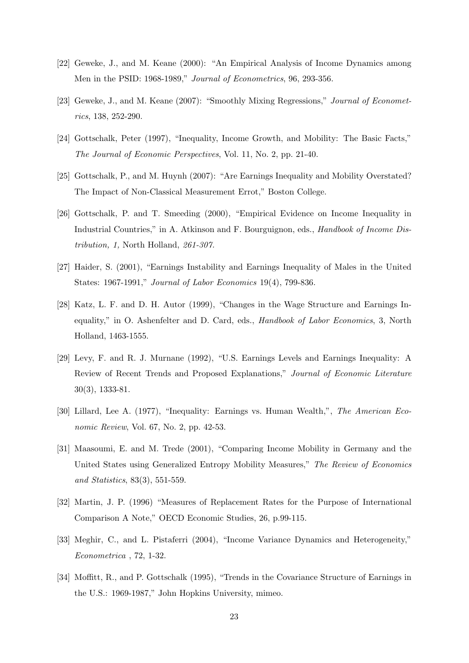- [22] Geweke, J., and M. Keane (2000): "An Empirical Analysis of Income Dynamics among Men in the PSID: 1968-1989," Journal of Econometrics, 96, 293-356.
- [23] Geweke, J., and M. Keane (2007): "Smoothly Mixing Regressions," Journal of Econometrics, 138, 252-290.
- [24] Gottschalk, Peter (1997), "Inequality, Income Growth, and Mobility: The Basic Facts," The Journal of Economic Perspectives, Vol. 11, No. 2, pp. 21-40.
- [25] Gottschalk, P., and M. Huynh (2007): "Are Earnings Inequality and Mobility Overstated? The Impact of Non-Classical Measurement Errot," Boston College.
- [26] Gottschalk, P. and T. Smeeding (2000), "Empirical Evidence on Income Inequality in Industrial Countries," in A. Atkinson and F. Bourguignon, eds., Handbook of Income Distribution, 1, North Holland, 261-307.
- [27] Haider, S. (2001), "Earnings Instability and Earnings Inequality of Males in the United States: 1967-1991," Journal of Labor Economics 19(4), 799-836.
- [28] Katz, L. F. and D. H. Autor (1999), "Changes in the Wage Structure and Earnings Inequality," in O. Ashenfelter and D. Card, eds., Handbook of Labor Economics, 3, North Holland, 1463-1555.
- [29] Levy, F. and R. J. Murnane (1992), "U.S. Earnings Levels and Earnings Inequality: A Review of Recent Trends and Proposed Explanations," Journal of Economic Literature 30(3), 1333-81.
- [30] Lillard, Lee A. (1977), "Inequality: Earnings vs. Human Wealth,", The American Economic Review, Vol. 67, No. 2, pp. 42-53.
- [31] Maasoumi, E. and M. Trede (2001), "Comparing Income Mobility in Germany and the United States using Generalized Entropy Mobility Measures," The Review of Economics and Statistics, 83(3), 551-559.
- [32] Martin, J. P. (1996) "Measures of Replacement Rates for the Purpose of International Comparison A Note," OECD Economic Studies, 26, p.99-115.
- [33] Meghir, C., and L. Pistaferri (2004), "Income Variance Dynamics and Heterogeneity," Econometrica , 72, 1-32.
- [34] Moffitt, R., and P. Gottschalk (1995), "Trends in the Covariance Structure of Earnings in the U.S.: 1969-1987," John Hopkins University, mimeo.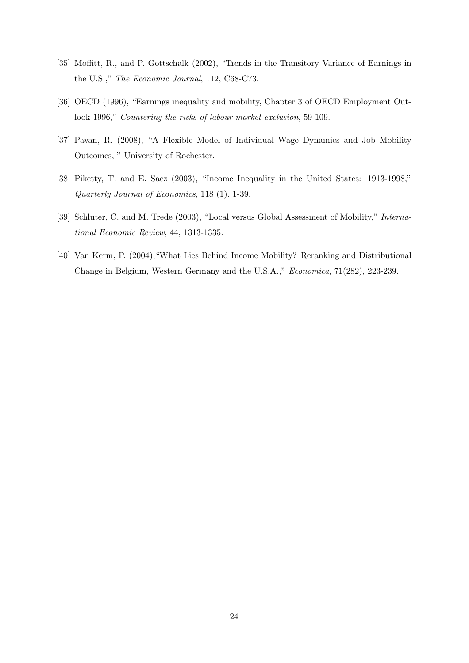- [35] Moffitt, R., and P. Gottschalk (2002), "Trends in the Transitory Variance of Earnings in the U.S.," The Economic Journal, 112, C68-C73.
- [36] OECD (1996), "Earnings inequality and mobility, Chapter 3 of OECD Employment Outlook 1996," Countering the risks of labour market exclusion, 59-109.
- [37] Pavan, R. (2008), "A Flexible Model of Individual Wage Dynamics and Job Mobility Outcomes, " University of Rochester.
- [38] Piketty, T. and E. Saez (2003), "Income Inequality in the United States: 1913-1998," Quarterly Journal of Economics, 118 (1), 1-39.
- [39] Schluter, C. and M. Trede (2003), "Local versus Global Assessment of Mobility," International Economic Review, 44, 1313-1335.
- [40] Van Kerm, P. (2004),"What Lies Behind Income Mobility? Reranking and Distributional Change in Belgium, Western Germany and the U.S.A.," Economica, 71(282), 223-239.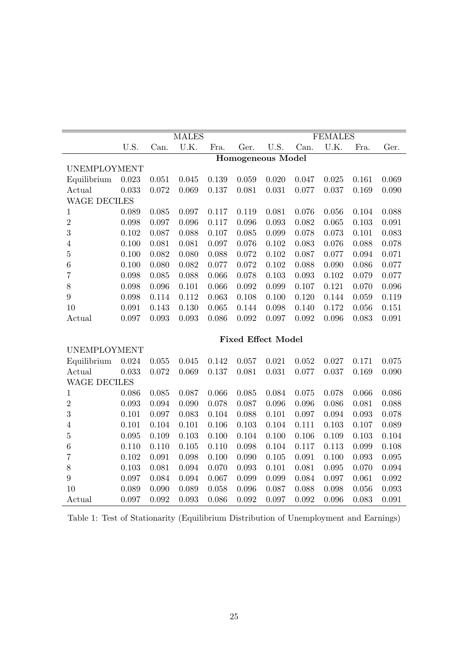|                     |           |       | <b>MALES</b> |       |       |                           |       | <b>FEMALES</b> |       |             |
|---------------------|-----------|-------|--------------|-------|-------|---------------------------|-------|----------------|-------|-------------|
|                     | U.S.      | Can.  | U.K.         | Fra.  | Ger.  | U.S.                      | Can.  | U.K.           | Fra.  | Ger.        |
|                     |           |       |              |       |       | <b>Homogeneous Model</b>  |       |                |       |             |
| <b>UNEMPLOYMENT</b> |           |       |              |       |       |                           |       |                |       |             |
| Equilibrium         | 0.023     | 0.051 | 0.045        | 0.139 | 0.059 | 0.020                     | 0.047 | 0.025          | 0.161 | 0.069       |
| Actual              | 0.033     | 0.072 | 0.069        | 0.137 | 0.081 | 0.031                     | 0.077 | 0.037          | 0.169 | 0.090       |
| <b>WAGE DECILES</b> |           |       |              |       |       |                           |       |                |       |             |
| $\mathbf 1$         | 0.089     | 0.085 | 0.097        | 0.117 | 0.119 | 0.081                     | 0.076 | 0.056          | 0.104 | 0.088       |
| $\overline{2}$      | 0.098     | 0.097 | 0.096        | 0.117 | 0.096 | 0.093                     | 0.082 | 0.065          | 0.103 | 0.091       |
| 3                   | $0.102\,$ | 0.087 | 0.088        | 0.107 | 0.085 | 0.099                     | 0.078 | 0.073          | 0.101 | 0.083       |
| $\overline{4}$      | $0.100\,$ | 0.081 | 0.081        | 0.097 | 0.076 | 0.102                     | 0.083 | 0.076          | 0.088 | 0.078       |
| $\overline{5}$      | 0.100     | 0.082 | 0.080        | 0.088 | 0.072 | 0.102                     | 0.087 | 0.077          | 0.094 | 0.071       |
| $\boldsymbol{6}$    | 0.100     | 0.080 | 0.082        | 0.077 | 0.072 | $0.102\,$                 | 0.088 | 0.090          | 0.086 | 0.077       |
| $\overline{7}$      | 0.098     | 0.085 | 0.088        | 0.066 | 0.078 | 0.103                     | 0.093 | 0.102          | 0.079 | 0.077       |
| 8                   | 0.098     | 0.096 | 0.101        | 0.066 | 0.092 | 0.099                     | 0.107 | 0.121          | 0.070 | 0.096       |
| 9                   | 0.098     | 0.114 | 0.112        | 0.063 | 0.108 | 0.100                     | 0.120 | 0.144          | 0.059 | 0.119       |
| 10                  | 0.091     | 0.143 | 0.130        | 0.065 | 0.144 | 0.098                     | 0.140 | 0.172          | 0.056 | 0.151       |
| Actual              | 0.097     | 0.093 | 0.093        | 0.086 | 0.092 | 0.097                     | 0.092 | 0.096          | 0.083 | 0.091       |
|                     |           |       |              |       |       | <b>Fixed Effect Model</b> |       |                |       |             |
| <b>UNEMPLOYMENT</b> |           |       |              |       |       |                           |       |                |       |             |
| Equilibrium         | 0.024     | 0.055 | 0.045        | 0.142 | 0.057 | 0.021                     | 0.052 | 0.027          | 0.171 | 0.075       |
| Actual              | 0.033     | 0.072 | 0.069        | 0.137 | 0.081 | 0.031                     | 0.077 | 0.037          | 0.169 | 0.090       |
| <b>WAGE DECILES</b> |           |       |              |       |       |                           |       |                |       |             |
| $\mathbf 1$         | 0.086     | 0.085 | 0.087        | 0.066 | 0.085 | 0.084                     | 0.075 | 0.078          | 0.066 | 0.086       |
| $\overline{2}$      | 0.093     | 0.094 | 0.090        | 0.078 | 0.087 | 0.096                     | 0.096 | 0.086          | 0.081 | 0.088       |
| 3                   | 0.101     | 0.097 | 0.083        | 0.104 | 0.088 | 0.101                     | 0.097 | 0.094          | 0.093 | 0.078       |
| $\overline{4}$      | 0.101     | 0.104 | 0.101        | 0.106 | 0.103 | 0.104                     | 0.111 | 0.103          | 0.107 | 0.089       |
| $\overline{5}$      | 0.095     | 0.109 | 0.103        | 0.100 | 0.104 | 0.100                     | 0.106 | 0.109          | 0.103 | 0.104       |
| $\boldsymbol{6}$    | 0.110     | 0.110 | 0.105        | 0.110 | 0.098 | 0.104                     | 0.117 | 0.113          | 0.099 | 0.108       |
| 7                   | $0.102\,$ | 0.091 | 0.098        | 0.100 | 0.090 | 0.105                     | 0.091 | 0.100          | 0.093 | $\,0.095\,$ |
| 8                   | 0.103     | 0.081 | 0.094        | 0.070 | 0.093 | 0.101                     | 0.081 | 0.095          | 0.070 | 0.094       |
| $\boldsymbol{9}$    | 0.097     | 0.084 | 0.094        | 0.067 | 0.099 | 0.099                     | 0.084 | 0.097          | 0.061 | $\,0.092\,$ |
| 10                  | 0.089     | 0.090 | 0.089        | 0.058 | 0.096 | 0.087                     | 0.088 | 0.098          | 0.056 | 0.093       |
| Actual              | 0.097     | 0.092 | 0.093        | 0.086 | 0.092 | 0.097                     | 0.092 | 0.096          | 0.083 | 0.091       |

Table 1: Test of Stationarity (Equilibrium Distribution of Unemployment and Earnings)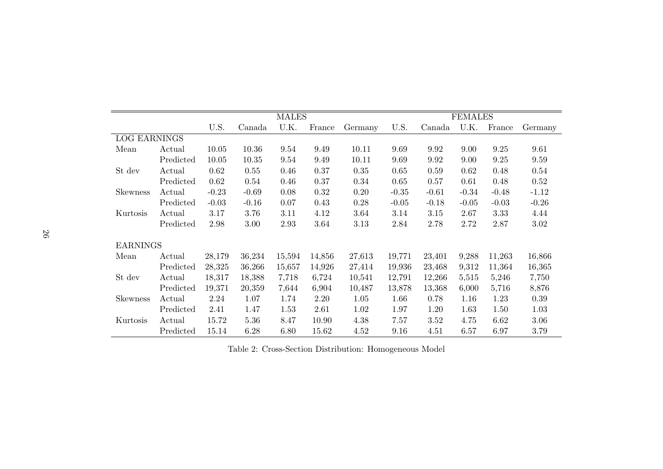|                     |           |         |         | <b>MALES</b> |        |          |         |         | <b>FEMALES</b> |         |         |
|---------------------|-----------|---------|---------|--------------|--------|----------|---------|---------|----------------|---------|---------|
|                     |           | U.S.    | Canada  | U.K.         | France | Germany  | U.S.    | Canada  | U.K.           | France  | Germany |
| <b>LOG EARNINGS</b> |           |         |         |              |        |          |         |         |                |         |         |
| Mean                | Actual    | 10.05   | 10.36   | 9.54         | 9.49   | 10.11    | 9.69    | 9.92    | 9.00           | 9.25    | 9.61    |
|                     | Predicted | 10.05   | 10.35   | 9.54         | 9.49   | 10.11    | 9.69    | 9.92    | 9.00           | 9.25    | 9.59    |
| St dev              | Actual    | 0.62    | 0.55    | 0.46         | 0.37   | $0.35\,$ | 0.65    | 0.59    | 0.62           | 0.48    | 0.54    |
|                     | Predicted | 0.62    | 0.54    | 0.46         | 0.37   | 0.34     | 0.65    | 0.57    | 0.61           | 0.48    | 0.52    |
| <b>Skewness</b>     | Actual    | $-0.23$ | $-0.69$ | 0.08         | 0.32   | 0.20     | $-0.35$ | $-0.61$ | $-0.34$        | $-0.48$ | $-1.12$ |
|                     | Predicted | $-0.03$ | $-0.16$ | 0.07         | 0.43   | 0.28     | $-0.05$ | $-0.18$ | $-0.05$        | $-0.03$ | $-0.26$ |
| Kurtosis            | Actual    | 3.17    | 3.76    | 3.11         | 4.12   | 3.64     | 3.14    | 3.15    | 2.67           | 3.33    | 4.44    |
|                     | Predicted | 2.98    | 3.00    | 2.93         | 3.64   | 3.13     | 2.84    | 2.78    | 2.72           | 2.87    | 3.02    |
| <b>EARNINGS</b>     |           |         |         |              |        |          |         |         |                |         |         |
| Mean                | Actual    | 28,179  | 36,234  | 15,594       | 14,856 | 27,613   | 19,771  | 23,401  | 9,288          | 11,263  | 16,866  |
|                     | Predicted | 28,325  | 36,266  | 15,657       | 14,926 | 27,414   | 19,936  | 23,468  | 9,312          | 11,364  | 16,365  |
| St dev              | Actual    | 18,317  | 18,388  | 7,718        | 6,724  | 10,541   | 12,791  | 12,266  | 5,515          | 5,246   | 7,750   |
|                     | Predicted | 19,371  | 20,359  | 7,644        | 6,904  | 10,487   | 13,878  | 13,368  | 6,000          | 5,716   | 8,876   |
| <b>Skewness</b>     | Actual    | 2.24    | 1.07    | 1.74         | 2.20   | 1.05     | 1.66    | 0.78    | 1.16           | 1.23    | 0.39    |
|                     | Predicted | 2.41    | 1.47    | 1.53         | 2.61   | 1.02     | 1.97    | 1.20    | 1.63           | 1.50    | 1.03    |
| Kurtosis            | Actual    | 15.72   | 5.36    | 8.47         | 10.90  | 4.38     | 7.57    | 3.52    | 4.75           | 6.62    | 3.06    |
|                     | Predicted | 15.14   | 6.28    | 6.80         | 15.62  | 4.52     | 9.16    | 4.51    | 6.57           | 6.97    | 3.79    |
|                     |           |         |         |              |        |          |         |         |                |         |         |

Table 2: Cross-Section Distribution: Homogeneous Model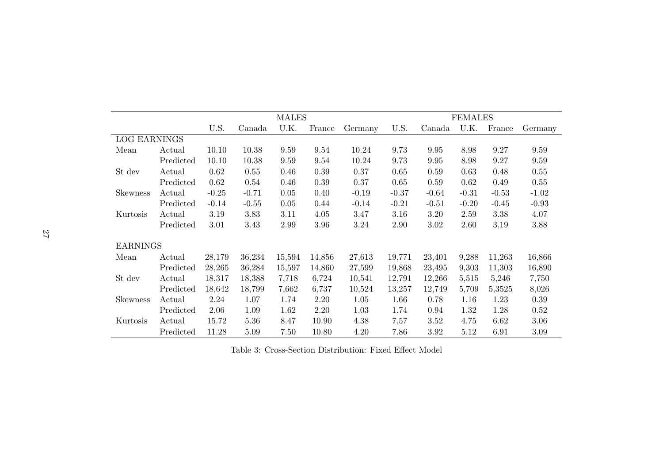|                     |           |         |         | <b>MALES</b> |        |         |         |         | <b>FEMALES</b> |         |         |
|---------------------|-----------|---------|---------|--------------|--------|---------|---------|---------|----------------|---------|---------|
|                     |           | U.S.    | Canada  | U.K.         | France | Germany | U.S.    | Canada  | U.K.           | France  | Germany |
| <b>LOG EARNINGS</b> |           |         |         |              |        |         |         |         |                |         |         |
| Mean                | Actual    | 10.10   | 10.38   | 9.59         | 9.54   | 10.24   | 9.73    | 9.95    | 8.98           | 9.27    | 9.59    |
|                     | Predicted | 10.10   | 10.38   | 9.59         | 9.54   | 10.24   | 9.73    | 9.95    | 8.98           | 9.27    | 9.59    |
| St dev              | Actual    | 0.62    | 0.55    | 0.46         | 0.39   | 0.37    | 0.65    | 0.59    | 0.63           | 0.48    | 0.55    |
|                     | Predicted | 0.62    | 0.54    | 0.46         | 0.39   | 0.37    | 0.65    | 0.59    | 0.62           | 0.49    | 0.55    |
| <b>Skewness</b>     | Actual    | $-0.25$ | $-0.71$ | 0.05         | 0.40   | $-0.19$ | $-0.37$ | $-0.64$ | $-0.31$        | $-0.53$ | $-1.02$ |
|                     | Predicted | $-0.14$ | $-0.55$ | 0.05         | 0.44   | $-0.14$ | $-0.21$ | $-0.51$ | $-0.20$        | $-0.45$ | $-0.93$ |
| Kurtosis            | Actual    | 3.19    | 3.83    | 3.11         | 4.05   | 3.47    | 3.16    | 3.20    | 2.59           | 3.38    | 4.07    |
|                     | Predicted | 3.01    | 3.43    | 2.99         | 3.96   | 3.24    | 2.90    | 3.02    | 2.60           | 3.19    | 3.88    |
| <b>EARNINGS</b>     |           |         |         |              |        |         |         |         |                |         |         |
| Mean                | Actual    | 28,179  | 36,234  | 15,594       | 14,856 | 27,613  | 19,771  | 23,401  | 9,288          | 11,263  | 16,866  |
|                     | Predicted | 28,265  | 36,284  | 15,597       | 14,860 | 27,599  | 19,868  | 23,495  | 9,303          | 11,303  | 16,890  |
| St dev              | Actual    | 18,317  | 18,388  | 7,718        | 6,724  | 10,541  | 12,791  | 12,266  | 5,515          | 5,246   | 7,750   |
|                     | Predicted | 18,642  | 18,799  | 7,662        | 6,737  | 10,524  | 13,257  | 12,749  | 5,709          | 5,3525  | 8,026   |
| <b>Skewness</b>     | Actual    | 2.24    | 1.07    | 1.74         | 2.20   | 1.05    | 1.66    | 0.78    | 1.16           | 1.23    | 0.39    |
|                     | Predicted | 2.06    | 1.09    | 1.62         | 2.20   | 1.03    | 1.74    | 0.94    | 1.32           | 1.28    | 0.52    |
| Kurtosis            | Actual    | 15.72   | 5.36    | 8.47         | 10.90  | 4.38    | 7.57    | 3.52    | 4.75           | 6.62    | 3.06    |
|                     | Predicted | 11.28   | 5.09    | 7.50         | 10.80  | 4.20    | 7.86    | 3.92    | 5.12           | 6.91    | 3.09    |

Table 3: Cross-Section Distribution: Fixed Effect Model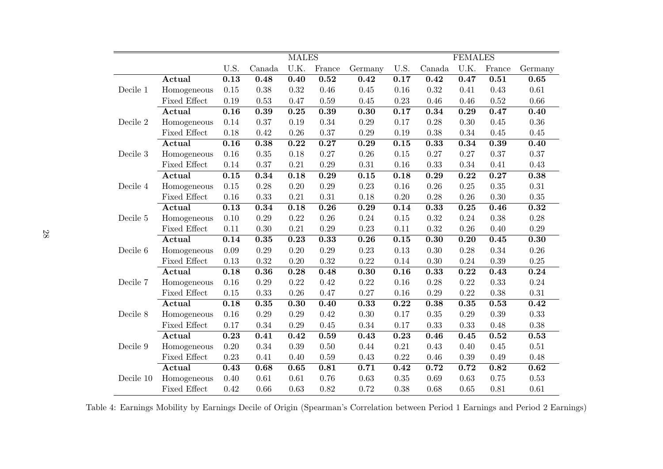|           |                         |          |          | <b>MALES</b> |                   |         |          |        | <b>FEMALES</b> |        |                   |
|-----------|-------------------------|----------|----------|--------------|-------------------|---------|----------|--------|----------------|--------|-------------------|
|           |                         | U.S.     | Canada   | U.K.         | France            | Germany | U.S.     | Canada | U.K.           | France | Germany           |
|           | Actual                  | 0.13     | 0.48     | 0.40         | 0.52              | 0.42    | 0.17     | 0.42   | 0.47           | 0.51   | 0.65              |
| Decile 1  | Homogeneous             | 0.15     | 0.38     | 0.32         | 0.46              | 0.45    | 0.16     | 0.32   | 0.41           | 0.43   | 0.61              |
|           | <b>Fixed Effect</b>     | 0.19     | 0.53     | 0.47         | 0.59              | 0.45    | 0.23     | 0.46   | 0.46           | 0.52   | 0.66              |
|           | Actual                  | 0.16     | 0.39     | 0.25         | 0.39              | 0.30    | 0.17     | 0.34   | 0.29           | 0.47   | 0.40              |
| Decile 2  | Homogeneous             | 0.14     | 0.37     | 0.19         | 0.34              | 0.29    | 0.17     | 0.28   | 0.30           | 0.45   | 0.36              |
|           | <b>Fixed Effect</b>     | 0.18     | 0.42     | 0.26         | 0.37              | 0.29    | 0.19     | 0.38   | 0.34           | 0.45   | 0.45              |
|           | Actual                  | 0.16     | 0.38     | 0.22         | $\overline{0.27}$ | 0.29    | 0.15     | 0.33   | 0.34           | 0.39   | 0.40              |
| Decile 3  | Homogeneous             | 0.16     | 0.35     | 0.18         | 0.27              | 0.26    | 0.15     | 0.27   | 0.27           | 0.37   | 0.37              |
|           | Fixed Effect            | 0.14     | 0.37     | 0.21         | 0.29              | 0.31    | 0.16     | 0.33   | 0.34           | 0.41   | 0.43              |
|           | Actual                  | 0.15     | 0.34     | 0.18         | 0.29              | 0.15    | 0.18     | 0.29   | 0.22           | 0.27   | 0.38              |
| Decile 4  | Homogeneous             | $0.15\,$ | 0.28     | 0.20         | 0.29              | 0.23    | 0.16     | 0.26   | 0.25           | 0.35   | $0.31\,$          |
|           | <b>Fixed Effect</b>     | 0.16     | 0.33     | 0.21         | $\rm 0.31$        | 0.18    | 0.20     | 0.28   | 0.26           | 0.30   | $0.35\,$          |
|           | Actual                  | 0.13     | 0.34     | 0.18         | 0.26              | 0.29    | 0.14     | 0.33   | 0.25           | 0.46   | 0.32              |
| Decile 5  | Homogeneous             | 0.10     | 0.29     | 0.22         | 0.26              | 0.24    | 0.15     | 0.32   | 0.24           | 0.38   | 0.28              |
|           | <b>Fixed Effect</b>     | 0.11     | 0.30     | 0.21         | 0.29              | 0.23    | 0.11     | 0.32   | 0.26           | 0.40   | 0.29              |
|           | Actual                  | 0.14     | 0.35     | 0.23         | 0.33              | 0.26    | 0.15     | 0.30   | 0.20           | 0.45   | $\overline{0.30}$ |
| Decile 6  | Homogeneous             | 0.09     | 0.29     | 0.20         | 0.29              | 0.23    | 0.13     | 0.30   | 0.28           | 0.34   | 0.26              |
|           | <b>Fixed Effect</b>     | 0.13     | 0.32     | 0.20         | 0.32              | 0.22    | 0.14     | 0.30   | 0.24           | 0.39   | 0.25              |
|           | <b>Actual</b>           | 0.18     | 0.36     | 0.28         | 0.48              | 0.30    | 0.16     | 0.33   | 0.22           | 0.43   | 0.24              |
| Decile 7  | Homogeneous             | 0.16     | 0.29     | 0.22         | 0.42              | 0.22    | 0.16     | 0.28   | 0.22           | 0.33   | 0.24              |
|           | <b>Fixed Effect</b>     | $0.15\,$ | 0.33     | 0.26         | 0.47              | 0.27    | 0.16     | 0.29   | 0.22           | 0.38   | $0.31\,$          |
|           | Actual                  | 0.18     | 0.35     | 0.30         | 0.40              | 0.33    | 0.22     | 0.38   | 0.35           | 0.53   | 0.42              |
| Decile 8  | Homogeneous             | 0.16     | 0.29     | 0.29         | 0.42              | 0.30    | 0.17     | 0.35   | 0.29           | 0.39   | 0.33              |
|           | <b>Fixed Effect</b>     | 0.17     | 0.34     | 0.29         | 0.45              | 0.34    | 0.17     | 0.33   | 0.33           | 0.48   | 0.38              |
|           | Actual                  | 0.23     | 0.41     | 0.42         | 0.59              | 0.43    | 0.23     | 0.46   | 0.45           | 0.52   | 0.53              |
| Decile 9  | Homogeneous             | $0.20\,$ | 0.34     | 0.39         | 0.50              | 0.44    | $0.21\,$ | 0.43   | 0.40           | 0.45   | $0.51\,$          |
|           | <b>Fixed Effect</b>     | 0.23     | 0.41     | 0.40         | 0.59              | 0.43    | 0.22     | 0.46   | 0.39           | 0.49   | 0.48              |
|           | $\operatorname{Actual}$ | 0.43     | 0.68     | 0.65         | 0.81              | 0.71    | 0.42     | 0.72   | 0.72           | 0.82   | 0.62              |
| Decile 10 | Homogeneous             | 0.40     | $0.61\,$ | 0.61         | 0.76              | 0.63    | 0.35     | 0.69   | 0.63           | 0.75   | 0.53              |
|           | <b>Fixed Effect</b>     | 0.42     | 0.66     | 0.63         | 0.82              | 0.72    | 0.38     | 0.68   | 0.65           | 0.81   | $0.61\,$          |

Table 4: Earnings Mobility by Earnings Decile of Origin (Spearman's Correlation between Period <sup>1</sup> Earnings and Period <sup>2</sup> Earnings)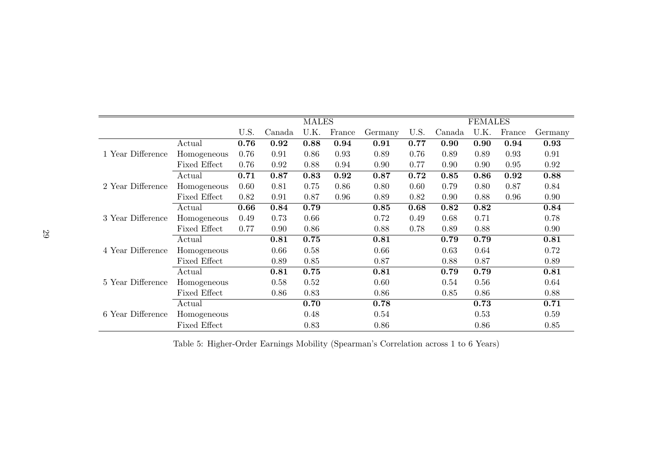|                   |                     |      |        | <b>MALES</b> |        |         |      |        | <b>FEMALES</b> |        |         |
|-------------------|---------------------|------|--------|--------------|--------|---------|------|--------|----------------|--------|---------|
|                   |                     | U.S. | Canada | U.K.         | France | Germany | U.S. | Canada | U.K.           | France | Germany |
|                   | Actual              | 0.76 | 0.92   | 0.88         | 0.94   | 0.91    | 0.77 | 0.90   | 0.90           | 0.94   | 0.93    |
| 1 Year Difference | Homogeneous         | 0.76 | 0.91   | 0.86         | 0.93   | 0.89    | 0.76 | 0.89   | 0.89           | 0.93   | 0.91    |
|                   | Fixed Effect        | 0.76 | 0.92   | 0.88         | 0.94   | 0.90    | 0.77 | 0.90   | 0.90           | 0.95   | 0.92    |
|                   | Actual              | 0.71 | 0.87   | 0.83         | 0.92   | 0.87    | 0.72 | 0.85   | 0.86           | 0.92   | 0.88    |
| 2 Year Difference | Homogeneous         | 0.60 | 0.81   | 0.75         | 0.86   | 0.80    | 0.60 | 0.79   | 0.80           | 0.87   | 0.84    |
|                   | Fixed Effect        | 0.82 | 0.91   | 0.87         | 0.96   | 0.89    | 0.82 | 0.90   | 0.88           | 0.96   | 0.90    |
|                   | Actual              | 0.66 | 0.84   | 0.79         |        | 0.85    | 0.68 | 0.82   | 0.82           |        | 0.84    |
| 3 Year Difference | Homogeneous         | 0.49 | 0.73   | 0.66         |        | 0.72    | 0.49 | 0.68   | 0.71           |        | 0.78    |
|                   | Fixed Effect        | 0.77 | 0.90   | 0.86         |        | 0.88    | 0.78 | 0.89   | 0.88           |        | 0.90    |
|                   | Actual              |      | 0.81   | 0.75         |        | 0.81    |      | 0.79   | 0.79           |        | 0.81    |
| 4 Year Difference | Homogeneous         |      | 0.66   | 0.58         |        | 0.66    |      | 0.63   | 0.64           |        | 0.72    |
|                   | Fixed Effect        |      | 0.89   | 0.85         |        | 0.87    |      | 0.88   | 0.87           |        | 0.89    |
|                   | Actual              |      | 0.81   | 0.75         |        | 0.81    |      | 0.79   | 0.79           |        | 0.81    |
| 5 Year Difference | Homogeneous         |      | 0.58   | 0.52         |        | 0.60    |      | 0.54   | 0.56           |        | 0.64    |
|                   | Fixed Effect        |      | 0.86   | 0.83         |        | 0.86    |      | 0.85   | 0.86           |        | 0.88    |
|                   | Actual              |      |        | 0.70         |        | 0.78    |      |        | 0.73           |        | 0.71    |
| 6 Year Difference | Homogeneous         |      |        | 0.48         |        | 0.54    |      |        | 0.53           |        | 0.59    |
|                   | <b>Fixed Effect</b> |      |        | 0.83         |        | 0.86    |      |        | 0.86           |        | 0.85    |

Table 5: Higher-Order Earnings Mobility (Spearman's Correlation across <sup>1</sup> to <sup>6</sup> Years)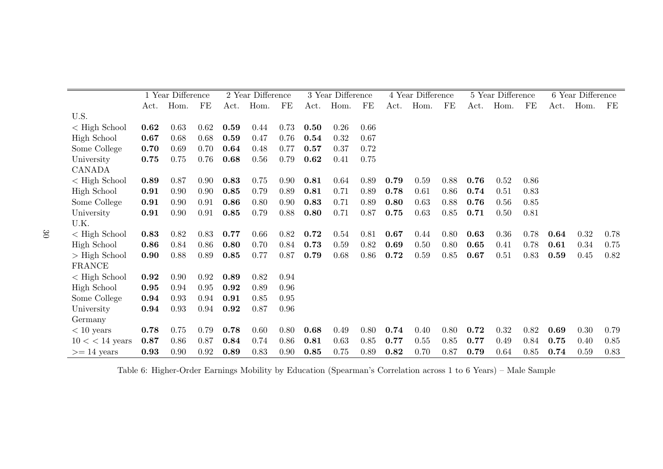|                       |      | 1 Year Difference |      |      | 2 Year Difference |      |      | 3 Year Difference |      |      | 4 Year Difference |      |      | 5 Year Difference |      |      | 6 Year Difference |      |
|-----------------------|------|-------------------|------|------|-------------------|------|------|-------------------|------|------|-------------------|------|------|-------------------|------|------|-------------------|------|
|                       | Act. | Hom.              | FE   | Act. | Hom.              | FE   | Act. | Hom.              | FE   | Act. | Hom.              | FE   | Act. | Hom.              | FE   | Act. | Hom.              | FE   |
| U.S.                  |      |                   |      |      |                   |      |      |                   |      |      |                   |      |      |                   |      |      |                   |      |
| $<$ High School       | 0.62 | 0.63              | 0.62 | 0.59 | 0.44              | 0.73 | 0.50 | 0.26              | 0.66 |      |                   |      |      |                   |      |      |                   |      |
| High School           | 0.67 | 0.68              | 0.68 | 0.59 | 0.47              | 0.76 | 0.54 | 0.32              | 0.67 |      |                   |      |      |                   |      |      |                   |      |
| Some College          | 0.70 | 0.69              | 0.70 | 0.64 | 0.48              | 0.77 | 0.57 | 0.37              | 0.72 |      |                   |      |      |                   |      |      |                   |      |
| University            | 0.75 | 0.75              | 0.76 | 0.68 | 0.56              | 0.79 | 0.62 | 0.41              | 0.75 |      |                   |      |      |                   |      |      |                   |      |
| <b>CANADA</b>         |      |                   |      |      |                   |      |      |                   |      |      |                   |      |      |                   |      |      |                   |      |
| $\langle$ High School | 0.89 | 0.87              | 0.90 | 0.83 | 0.75              | 0.90 | 0.81 | 0.64              | 0.89 | 0.79 | 0.59              | 0.88 | 0.76 | 0.52              | 0.86 |      |                   |      |
| High School           | 0.91 | 0.90              | 0.90 | 0.85 | 0.79              | 0.89 | 0.81 | 0.71              | 0.89 | 0.78 | 0.61              | 0.86 | 0.74 | 0.51              | 0.83 |      |                   |      |
| Some College          | 0.91 | 0.90              | 0.91 | 0.86 | 0.80              | 0.90 | 0.83 | 0.71              | 0.89 | 0.80 | 0.63              | 0.88 | 0.76 | 0.56              | 0.85 |      |                   |      |
| University            | 0.91 | 0.90              | 0.91 | 0.85 | 0.79              | 0.88 | 0.80 | 0.71              | 0.87 | 0.75 | 0.63              | 0.85 | 0.71 | 0.50              | 0.81 |      |                   |      |
| U.K.                  |      |                   |      |      |                   |      |      |                   |      |      |                   |      |      |                   |      |      |                   |      |
| $\langle$ High School | 0.83 | 0.82              | 0.83 | 0.77 | 0.66              | 0.82 | 0.72 | 0.54              | 0.81 | 0.67 | 0.44              | 0.80 | 0.63 | 0.36              | 0.78 | 0.64 | 0.32              | 0.78 |
| High School           | 0.86 | 0.84              | 0.86 | 0.80 | 0.70              | 0.84 | 0.73 | 0.59              | 0.82 | 0.69 | 0.50              | 0.80 | 0.65 | 0.41              | 0.78 | 0.61 | 0.34              | 0.75 |
| $>$ High School       | 0.90 | 0.88              | 0.89 | 0.85 | 0.77              | 0.87 | 0.79 | 0.68              | 0.86 | 0.72 | 0.59              | 0.85 | 0.67 | 0.51              | 0.83 | 0.59 | 0.45              | 0.82 |
| <b>FRANCE</b>         |      |                   |      |      |                   |      |      |                   |      |      |                   |      |      |                   |      |      |                   |      |
| $\langle$ High School | 0.92 | 0.90              | 0.92 | 0.89 | 0.82              | 0.94 |      |                   |      |      |                   |      |      |                   |      |      |                   |      |
| <b>High School</b>    | 0.95 | 0.94              | 0.95 | 0.92 | 0.89              | 0.96 |      |                   |      |      |                   |      |      |                   |      |      |                   |      |
| Some College          | 0.94 | 0.93              | 0.94 | 0.91 | 0.85              | 0.95 |      |                   |      |      |                   |      |      |                   |      |      |                   |      |
| University            | 0.94 | 0.93              | 0.94 | 0.92 | 0.87              | 0.96 |      |                   |      |      |                   |      |      |                   |      |      |                   |      |
| Germany               |      |                   |      |      |                   |      |      |                   |      |      |                   |      |      |                   |      |      |                   |      |
| $< 10$ years          | 0.78 | 0.75              | 0.79 | 0.78 | 0.60              | 0.80 | 0.68 | 0.49              | 0.80 | 0.74 | 0.40              | 0.80 | 0.72 | 0.32              | 0.82 | 0.69 | 0.30              | 0.79 |
| $10 < 14$ years       | 0.87 | 0.86              | 0.87 | 0.84 | 0.74              | 0.86 | 0.81 | 0.63              | 0.85 | 0.77 | 0.55              | 0.85 | 0.77 | 0.49              | 0.84 | 0.75 | 0.40              | 0.85 |
| $>= 14 \text{ years}$ | 0.93 | 0.90              | 0.92 | 0.89 | 0.83              | 0.90 | 0.85 | 0.75              | 0.89 | 0.82 | 0.70              | 0.87 | 0.79 | 0.64              | 0.85 | 0.74 | 0.59              | 0.83 |

Table 6: Higher-Order Earnings Mobility by Education (Spearman's Correlation across <sup>1</sup> to <sup>6</sup> Years) – Male Sample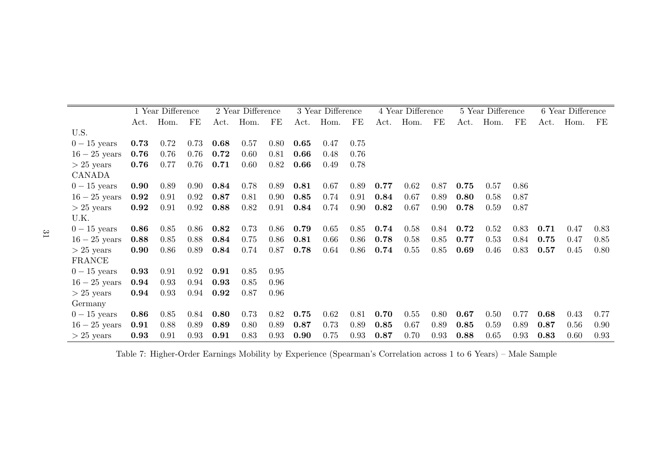|               |            | 1 Year Difference |      |      | 2 Year Difference |          |      | 3 Year Difference |          |      | 4 Year Difference |      |      | 5 Year Difference |      |      | 6 Year Difference |      |
|---------------|------------|-------------------|------|------|-------------------|----------|------|-------------------|----------|------|-------------------|------|------|-------------------|------|------|-------------------|------|
|               |            | Act. Hom.         | FE   | Act. | Hom.              | $\rm FE$ |      | Act. Hom.         | $\rm FE$ |      | Act. Hom.         | FE   | Act. | Hom.              | FE   | Act. | Hom.              | FE.  |
| U.S.          |            |                   |      |      |                   |          |      |                   |          |      |                   |      |      |                   |      |      |                   |      |
| $0-15$ years  | 0.73       | 0.72              | 0.73 | 0.68 | 0.57              | 0.80     | 0.65 | 0.47              | 0.75     |      |                   |      |      |                   |      |      |                   |      |
| $16-25$ years | 0.76       | 0.76              | 0.76 | 0.72 | 0.60              | 0.81     | 0.66 | 0.48              | 0.76     |      |                   |      |      |                   |      |      |                   |      |
| $> 25$ years  | 0.76       | 0.77              | 0.76 | 0.71 | 0.60              | 0.82     | 0.66 | 0.49              | 0.78     |      |                   |      |      |                   |      |      |                   |      |
| CANADA        |            |                   |      |      |                   |          |      |                   |          |      |                   |      |      |                   |      |      |                   |      |
| $0-15$ years  | 0.90       | 0.89              | 0.90 | 0.84 | 0.78              | 0.89     | 0.81 | 0.67              | 0.89     | 0.77 | 0.62              | 0.87 | 0.75 | 0.57              | 0.86 |      |                   |      |
| $16-25$ years | 0.92       | 0.91              | 0.92 | 0.87 | 0.81              | 0.90     | 0.85 | 0.74              | 0.91     | 0.84 | 0.67              | 0.89 | 0.80 | 0.58              | 0.87 |      |                   |      |
| $> 25$ years  | $\bf 0.92$ | 0.91              | 0.92 | 0.88 | 0.82              | 0.91     | 0.84 | 0.74              | 0.90     | 0.82 | 0.67              | 0.90 | 0.78 | 0.59              | 0.87 |      |                   |      |
| U.K.          |            |                   |      |      |                   |          |      |                   |          |      |                   |      |      |                   |      |      |                   |      |
| $0-15$ years  | 0.86       | 0.85              | 0.86 | 0.82 | 0.73              | 0.86     | 0.79 | 0.65              | 0.85     | 0.74 | 0.58              | 0.84 | 0.72 | 0.52              | 0.83 | 0.71 | 0.47              | 0.83 |
| $16-25$ years | 0.88       | 0.85              | 0.88 | 0.84 | 0.75              | 0.86     | 0.81 | 0.66              | 0.86     | 0.78 | 0.58              | 0.85 | 0.77 | 0.53              | 0.84 | 0.75 | 0.47              | 0.85 |
| $> 25$ years  | 0.90       | 0.86              | 0.89 | 0.84 | 0.74              | 0.87     | 0.78 | 0.64              | 0.86     | 0.74 | 0.55              | 0.85 | 0.69 | 0.46              | 0.83 | 0.57 | 0.45              | 0.80 |
| FRANCE        |            |                   |      |      |                   |          |      |                   |          |      |                   |      |      |                   |      |      |                   |      |
| $0-15$ years  | 0.93       | 0.91              | 0.92 | 0.91 | 0.85              | 0.95     |      |                   |          |      |                   |      |      |                   |      |      |                   |      |
| $16-25$ years | 0.94       | 0.93              | 0.94 | 0.93 | 0.85              | 0.96     |      |                   |          |      |                   |      |      |                   |      |      |                   |      |
| $> 25$ years  | 0.94       | 0.93              | 0.94 | 0.92 | 0.87              | 0.96     |      |                   |          |      |                   |      |      |                   |      |      |                   |      |
| Germany       |            |                   |      |      |                   |          |      |                   |          |      |                   |      |      |                   |      |      |                   |      |
| $0-15$ years  | 0.86       | 0.85              | 0.84 | 0.80 | 0.73              | 0.82     | 0.75 | 0.62              | 0.81     | 0.70 | 0.55              | 0.80 | 0.67 | 0.50              | 0.77 | 0.68 | 0.43              | 0.77 |
| $16-25$ years | 0.91       | 0.88              | 0.89 | 0.89 | 0.80              | 0.89     | 0.87 | 0.73              | 0.89     | 0.85 | 0.67              | 0.89 | 0.85 | 0.59              | 0.89 | 0.87 | 0.56              | 0.90 |
| $> 25$ years  | 0.93       | 0.91              | 0.93 | 0.91 | 0.83              | 0.93     | 0.90 | 0.75              | 0.93     | 0.87 | 0.70              | 0.93 | 0.88 | 0.65              | 0.93 | 0.83 | 0.60              | 0.93 |

Table 7: Higher-Order Earnings Mobility by Experience (Spearman's Correlation across <sup>1</sup> to <sup>6</sup> Years) – Male Sample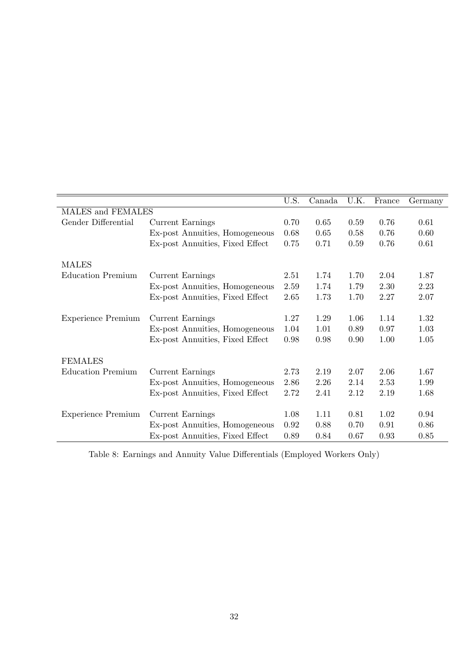| 0.61 |
|------|
| 0.60 |
| 0.61 |
|      |
| 1.87 |
| 2.23 |
| 2.07 |
| 1.32 |
| 1.03 |
| 1.05 |
|      |
| 1.67 |
| 1.99 |
| 1.68 |
| 0.94 |
| 0.86 |
| 0.85 |
|      |

Table 8: Earnings and Annuity Value Differentials (Employed Workers Only)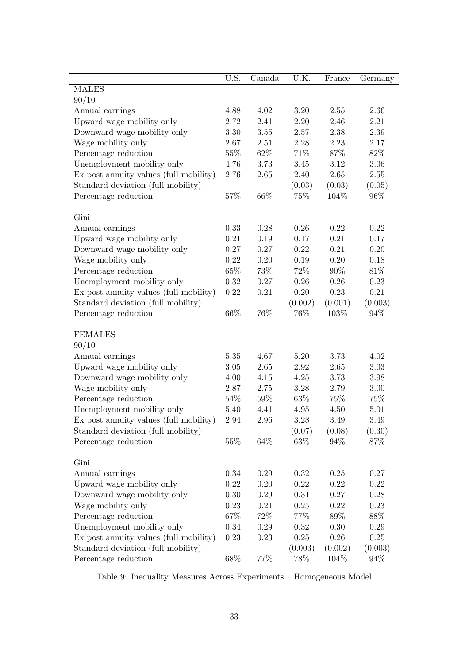|                                        | U.S.     | Canada   | U.K.    | France   | Germany  |
|----------------------------------------|----------|----------|---------|----------|----------|
| <b>MALES</b>                           |          |          |         |          |          |
| 90/10                                  |          |          |         |          |          |
| Annual earnings                        | 4.88     | 4.02     | 3.20    | 2.55     | 2.66     |
| Upward wage mobility only              | 2.72     | 2.41     | 2.20    | 2.46     | 2.21     |
| Downward wage mobility only            | 3.30     | 3.55     | 2.57    | 2.38     | 2.39     |
| Wage mobility only                     | 2.67     | 2.51     | 2.28    | 2.23     | 2.17     |
| Percentage reduction                   | 55%      | 62\%     | 71%     | 87%      | 82%      |
| Unemployment mobility only             | 4.76     | 3.73     | 3.45    | 3.12     | 3.06     |
| Ex post annuity values (full mobility) | 2.76     | 2.65     | 2.40    | 2.65     | 2.55     |
| Standard deviation (full mobility)     |          |          | (0.03)  | (0.03)   | (0.05)   |
| Percentage reduction                   | 57%      | 66\%     | 75%     | 104%     | 96\%     |
| Gini                                   |          |          |         |          |          |
| Annual earnings                        | 0.33     | 0.28     | 0.26    | 0.22     | 0.22     |
| Upward wage mobility only              | 0.21     | 0.19     | 0.17    | 0.21     | 0.17     |
| Downward wage mobility only            | 0.27     | 0.27     | 0.22    | 0.21     | 0.20     |
| Wage mobility only                     | 0.22     | 0.20     | 0.19    | 0.20     | 0.18     |
| Percentage reduction                   | $65\%$   | 73%      | 72\%    | 90%      | 81\%     |
| Unemployment mobility only             | 0.32     | 0.27     | 0.26    | 0.26     | 0.23     |
| Ex post annuity values (full mobility) | 0.22     | 0.21     | 0.20    | 0.23     | 0.21     |
| Standard deviation (full mobility)     |          |          | (0.002) | (0.001)  | (0.003)  |
| Percentage reduction                   | 66%      | 76%      | 76%     | 103%     | 94%      |
| <b>FEMALES</b>                         |          |          |         |          |          |
| 90/10                                  |          |          |         |          |          |
| Annual earnings                        | 5.35     | 4.67     | 5.20    | 3.73     | 4.02     |
| Upward wage mobility only              | 3.05     | 2.65     | 2.92    | 2.65     | 3.03     |
| Downward wage mobility only            | 4.00     | 4.15     | 4.25    | 3.73     | 3.98     |
| Wage mobility only                     | 2.87     | 2.75     | 3.28    | 2.79     | 3.00     |
| Percentage reduction                   | 54\%     | 59%      | 63\%    | 75%      | 75%      |
| Unemployment mobility only             | 5.40     | 4.41     | 4.95    | 4.50     | $5.01\,$ |
| Ex post annuity values (full mobility) | 2.94     | $2.96\,$ | 3.28    | 3.49     | 3.49     |
| Standard deviation (full mobility)     |          |          | (0.07)  | (0.08)   | (0.30)   |
| Percentage reduction                   | 55\%     | 64\%     | 63%     | 94%      | 87%      |
| Gini                                   |          |          |         |          |          |
| Annual earnings                        | 0.34     | 0.29     | 0.32    | $0.25\,$ | $0.27\,$ |
| Upward wage mobility only              | $0.22\,$ | 0.20     | 0.22    | $0.22\,$ | $0.22\,$ |
| Downward wage mobility only            | 0.30     | 0.29     | 0.31    | 0.27     | 0.28     |
| Wage mobility only                     | 0.23     | 0.21     | 0.25    | 0.22     | 0.23     |
| Percentage reduction                   | 67\%     | 72\%     | 77%     | 89%      | 88%      |
| Unemployment mobility only             | 0.34     | 0.29     | 0.32    | $0.30\,$ | 0.29     |
| Ex post annuity values (full mobility) | 0.23     | 0.23     | 0.25    | 0.26     | $0.25\,$ |
| Standard deviation (full mobility)     |          |          | (0.003) | (0.002)  | (0.003)  |
| Percentage reduction                   | 68\%     | $77\%$   | $78\%$  | 104\%    | 94%      |

Table 9: Inequality Measures Across Experiments – Homogeneous Model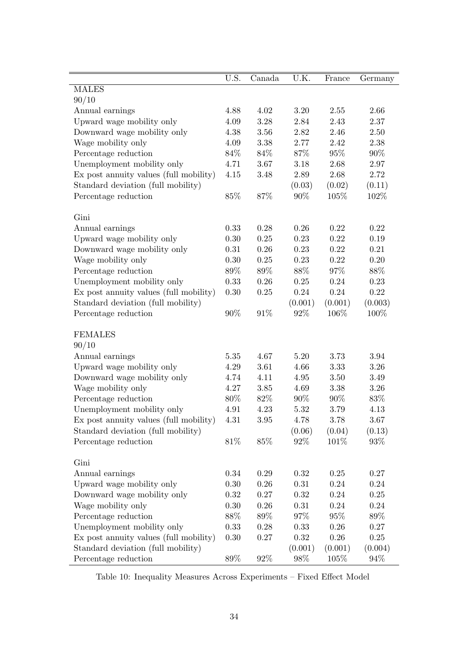|                                        | U.S.   | Canada   | U.K.    | France   | Germany  |
|----------------------------------------|--------|----------|---------|----------|----------|
| <b>MALES</b>                           |        |          |         |          |          |
| 90/10                                  |        |          |         |          |          |
| Annual earnings                        | 4.88   | 4.02     | 3.20    | 2.55     | 2.66     |
| Upward wage mobility only              | 4.09   | 3.28     | 2.84    | 2.43     | 2.37     |
| Downward wage mobility only            | 4.38   | 3.56     | 2.82    | 2.46     | 2.50     |
| Wage mobility only                     | 4.09   | 3.38     | 2.77    | 2.42     | 2.38     |
| Percentage reduction                   | 84%    | 84\%     | 87%     | 95%      | $90\%$   |
| Unemployment mobility only             | 4.71   | 3.67     | 3.18    | 2.68     | 2.97     |
| Ex post annuity values (full mobility) | 4.15   | 3.48     | 2.89    | 2.68     | 2.72     |
| Standard deviation (full mobility)     |        |          | (0.03)  | (0.02)   | (0.11)   |
| Percentage reduction                   | 85%    | 87%      | 90%     | 105%     | 102\%    |
| Gini                                   |        |          |         |          |          |
| Annual earnings                        | 0.33   | 0.28     | 0.26    | 0.22     | 0.22     |
| Upward wage mobility only              | 0.30   | 0.25     | 0.23    | 0.22     | 0.19     |
| Downward wage mobility only            | 0.31   | 0.26     | 0.23    | 0.22     | 0.21     |
| Wage mobility only                     | 0.30   | 0.25     | 0.23    | 0.22     | 0.20     |
| Percentage reduction                   | 89%    | $89\%$   | 88\%    | $97\%$   | $88\%$   |
| Unemployment mobility only             | 0.33   | 0.26     | 0.25    | 0.24     | 0.23     |
| Ex post annuity values (full mobility) | 0.30   | 0.25     | 0.24    | 0.24     | 0.22     |
| Standard deviation (full mobility)     |        |          | (0.001) | (0.001)  | (0.003)  |
| Percentage reduction                   | $90\%$ | $91\%$   | 92%     | $106\%$  | 100%     |
| <b>FEMALES</b>                         |        |          |         |          |          |
| 90/10                                  |        |          |         |          |          |
| Annual earnings                        | 5.35   | 4.67     | 5.20    | 3.73     | 3.94     |
| Upward wage mobility only              | 4.29   | 3.61     | 4.66    | 3.33     | 3.26     |
| Downward wage mobility only            | 4.74   | 4.11     | 4.95    | 3.50     | $3.49\,$ |
| Wage mobility only                     | 4.27   | 3.85     | 4.69    | 3.38     | 3.26     |
| Percentage reduction                   | 80%    | 82\%     | $90\%$  | $90\%$   | 83\%     |
| Unemployment mobility only             | 4.91   | 4.23     | 5.32    | 3.79     | 4.13     |
| Ex post annuity values (full mobility) | 4.31   | 3.95     | 4.78    | 3.78     | 3.67     |
| Standard deviation (full mobility)     |        |          | (0.06)  | (0.04)   | (0.13)   |
| Percentage reduction                   | 81\%   | 85%      | 92%     | 101\%    | 93%      |
| Gini                                   |        |          |         |          |          |
| Annual earnings                        | 0.34   | 0.29     | 0.32    | $0.25\,$ | $0.27\,$ |
| Upward wage mobility only              | 0.30   | $0.26\,$ | 0.31    | 0.24     | $0.24\,$ |
| Downward wage mobility only            | 0.32   | 0.27     | 0.32    | 0.24     | 0.25     |
| Wage mobility only                     | 0.30   | 0.26     | 0.31    | 0.24     | 0.24     |
| Percentage reduction                   | 88\%   | 89\%     | 97%     | $95\%$   | 89%      |
| Unemployment mobility only             | 0.33   | $0.28\,$ | 0.33    | $0.26\,$ | 0.27     |
| Ex post annuity values (full mobility) | 0.30   | 0.27     | 0.32    | 0.26     | $0.25\,$ |
| Standard deviation (full mobility)     |        |          | (0.001) | (0.001)  | (0.004)  |
| Percentage reduction                   | 89\%   | $92\%$   | $98\%$  | 105%     | 94%      |

Table 10: Inequality Measures Across Experiments – Fixed Effect Model